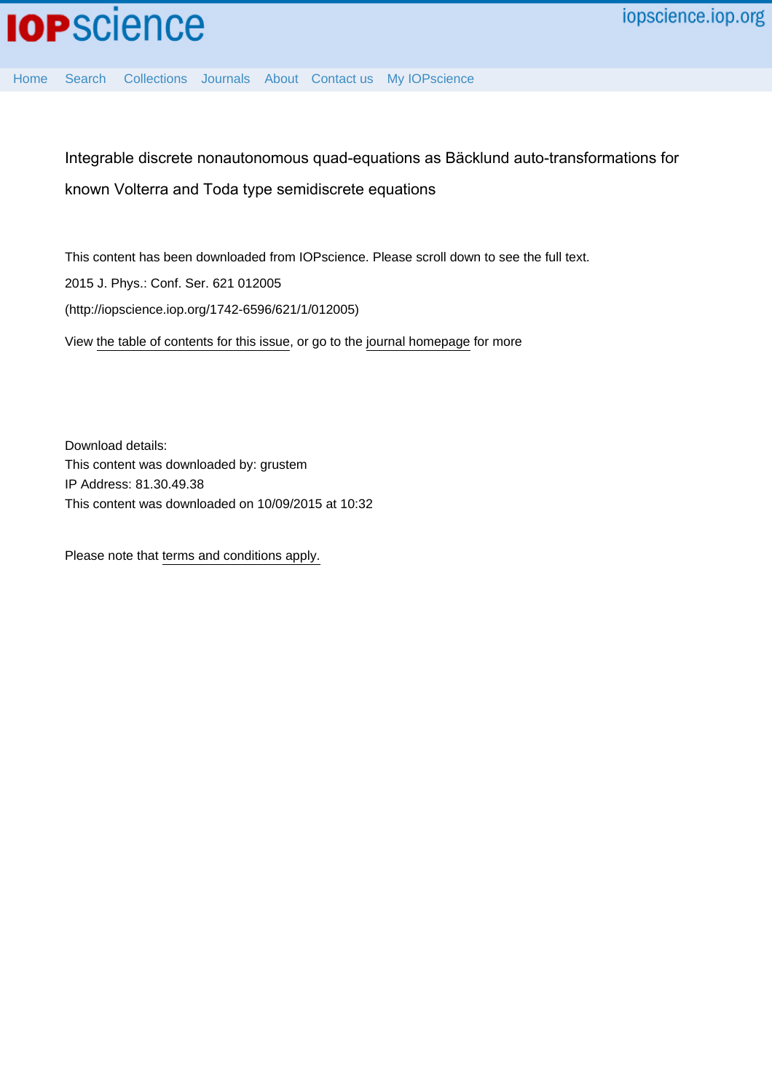[Home](http://iopscience.iop.org/) [Search](http://iopscience.iop.org/search) [Collections](http://iopscience.iop.org/collections) [Journals](http://iopscience.iop.org/journals) [About](http://iopscience.iop.org/page/aboutioppublishing) [Contact us](http://iopscience.iop.org/contact) [My IOPscience](http://iopscience.iop.org/myiopscience)

Integrable discrete nonautonomous quad-equations as Bäcklund auto-transformations for known Volterra and Toda type semidiscrete equations

This content has been downloaded from IOPscience. Please scroll down to see the full text. View [the table of contents for this issue](http://iopscience.iop.org/1742-6596/621/1), or go to the [journal homepage](http://iopscience.iop.org/1742-6596) for more 2015 J. Phys.: Conf. Ser. 621 012005 (http://iopscience.iop.org/1742-6596/621/1/012005)

Download details: This content was downloaded by: grustem IP Address: 81.30.49.38 This content was downloaded on 10/09/2015 at 10:32

Please note that [terms and conditions apply.](iopscience.iop.org/page/terms)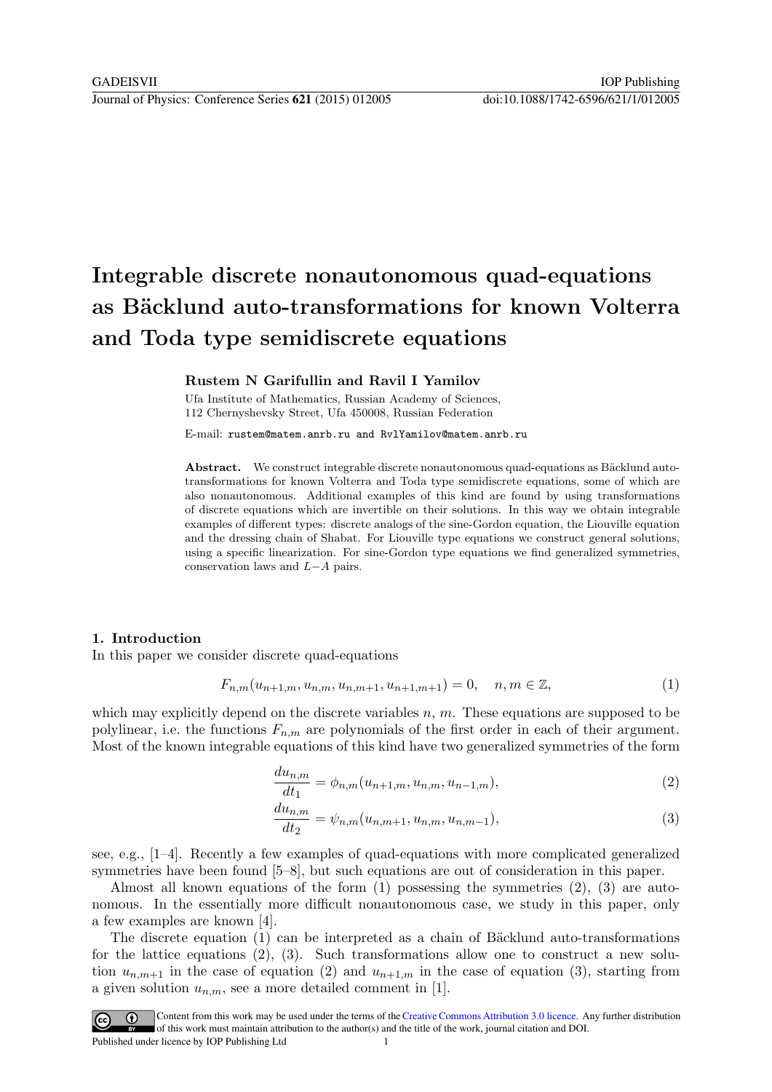# Integrable discrete nonautonomous quad-equations as Bäcklund auto-transformations for known Volterra and Toda type semidiscrete equations

# Rustem N Garifullin and Ravil I Yamilov

Ufa Institute of Mathematics, Russian Academy of Sciences, 112 Chernyshevsky Street, Ufa 450008, Russian Federation

E-mail: rustem@matem.anrb.ru and RvlYamilov@matem.anrb.ru

Abstract. We construct integrable discrete nonautonomous quad-equations as Bäcklund autotransformations for known Volterra and Toda type semidiscrete equations, some of which are also nonautonomous. Additional examples of this kind are found by using transformations of discrete equations which are invertible on their solutions. In this way we obtain integrable examples of different types: discrete analogs of the sine-Gordon equation, the Liouville equation and the dressing chain of Shabat. For Liouville type equations we construct general solutions, using a specific linearization. For sine-Gordon type equations we find generalized symmetries, conservation laws and L−A pairs.

#### 1. Introduction

In this paper we consider discrete quad-equations

$$
F_{n,m}(u_{n+1,m}, u_{n,m}, u_{n,m+1}, u_{n+1,m+1}) = 0, \quad n, m \in \mathbb{Z},
$$
\n(1)

which may explicitly depend on the discrete variables  $n, m$ . These equations are supposed to be polylinear, i.e. the functions  $F_{n,m}$  are polynomials of the first order in each of their argument. Most of the known integrable equations of this kind have two generalized symmetries of the form

$$
\frac{du_{n,m}}{dt_1} = \phi_{n,m}(u_{n+1,m}, u_{n,m}, u_{n-1,m}),
$$
\n(2)

$$
\frac{du_{n,m}}{dt_2} = \psi_{n,m}(u_{n,m+1}, u_{n,m}, u_{n,m-1}),
$$
\n(3)

see, e.g., [1–4]. Recently a few examples of quad-equations with more complicated generalized symmetries have been found [5–8], but such equations are out of consideration in this paper.

Almost all known equations of the form  $(1)$  possessing the symmetries  $(2)$ ,  $(3)$  are autonomous. In the essentially more difficult nonautonomous case, we study in this paper, only a few examples are known [4].

The discrete equation  $(1)$  can be interpreted as a chain of Bäcklund auto-transformations for the lattice equations (2), (3). Such transformations allow one to construct a new solution  $u_{n,m+1}$  in the case of equation (2) and  $u_{n+1,m}$  in the case of equation (3), starting from a given solution  $u_{n,m}$ , see a more detailed comment in [1].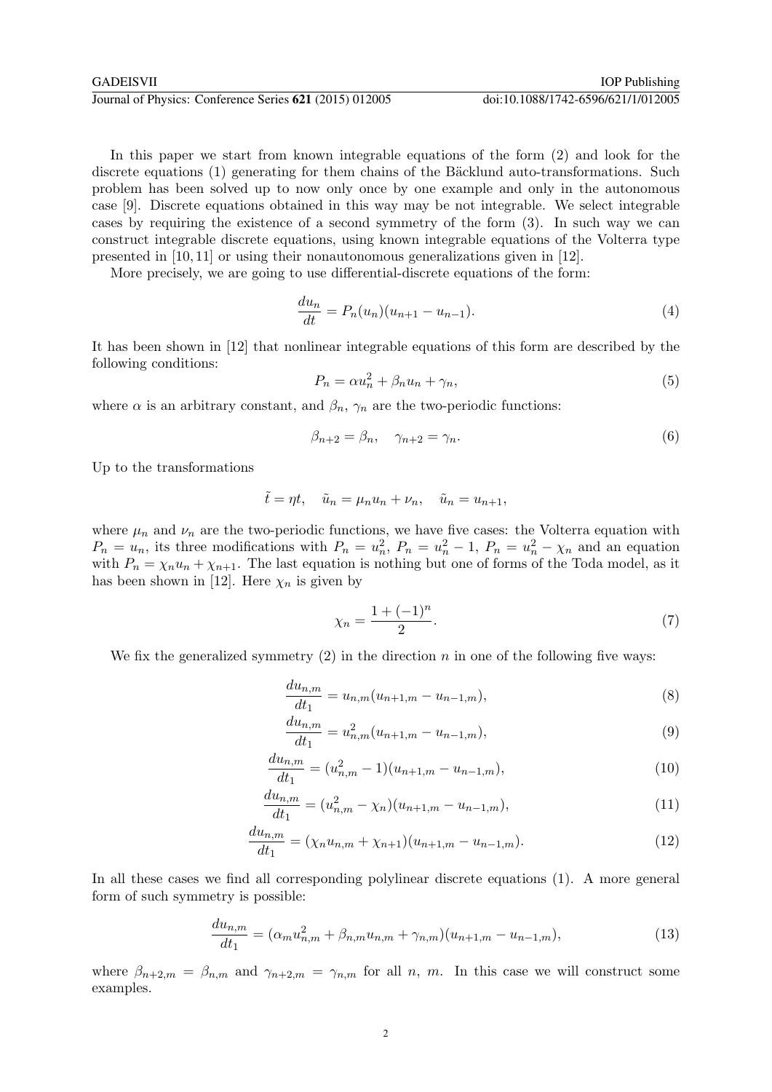In this paper we start from known integrable equations of the form (2) and look for the discrete equations (1) generating for them chains of the Bäcklund auto-transformations. Such problem has been solved up to now only once by one example and only in the autonomous case [9]. Discrete equations obtained in this way may be not integrable. We select integrable cases by requiring the existence of a second symmetry of the form (3). In such way we can construct integrable discrete equations, using known integrable equations of the Volterra type presented in [10, 11] or using their nonautonomous generalizations given in [12].

More precisely, we are going to use differential-discrete equations of the form:

$$
\frac{du_n}{dt} = P_n(u_n)(u_{n+1} - u_{n-1}).
$$
\n(4)

It has been shown in [12] that nonlinear integrable equations of this form are described by the following conditions:

$$
P_n = \alpha u_n^2 + \beta_n u_n + \gamma_n,\tag{5}
$$

where  $\alpha$  is an arbitrary constant, and  $\beta_n$ ,  $\gamma_n$  are the two-periodic functions:

$$
\beta_{n+2} = \beta_n, \quad \gamma_{n+2} = \gamma_n. \tag{6}
$$

Up to the transformations

$$
\tilde{t} = \eta t, \quad \tilde{u}_n = \mu_n u_n + \nu_n, \quad \tilde{u}_n = u_{n+1},
$$

where  $\mu_n$  and  $\nu_n$  are the two-periodic functions, we have five cases: the Volterra equation with  $P_n = u_n$ , its three modifications with  $P_n = u_n^2$ ,  $P_n = u_n^2 - 1$ ,  $P_n = u_n^2 - \chi_n$  and an equation with  $P_n = \chi_n u_n + \chi_{n+1}$ . The last equation is nothing but one of forms of the Toda model, as it has been shown in [12]. Here  $\chi_n$  is given by

$$
\chi_n = \frac{1 + (-1)^n}{2}.\tag{7}
$$

We fix the generalized symmetry  $(2)$  in the direction n in one of the following five ways:

$$
\frac{du_{n,m}}{dt_1} = u_{n,m}(u_{n+1,m} - u_{n-1,m}),
$$
\n(8)

$$
\frac{du_{n,m}}{dt_1} = u_{n,m}^2(u_{n+1,m} - u_{n-1,m}),
$$
\n(9)

$$
\frac{du_{n,m}}{dt_1} = (u_{n,m}^2 - 1)(u_{n+1,m} - u_{n-1,m}),
$$
\n(10)

$$
\frac{du_{n,m}}{dt_1} = (u_{n,m}^2 - \chi_n)(u_{n+1,m} - u_{n-1,m}),\tag{11}
$$

$$
\frac{du_{n,m}}{dt_1} = (\chi_n u_{n,m} + \chi_{n+1})(u_{n+1,m} - u_{n-1,m}).
$$
\n(12)

In all these cases we find all corresponding polylinear discrete equations (1). A more general form of such symmetry is possible:

$$
\frac{du_{n,m}}{dt_1} = (\alpha_m u_{n,m}^2 + \beta_{n,m} u_{n,m} + \gamma_{n,m})(u_{n+1,m} - u_{n-1,m}),
$$
\n(13)

where  $\beta_{n+2,m} = \beta_{n,m}$  and  $\gamma_{n+2,m} = \gamma_{n,m}$  for all n, m. In this case we will construct some examples.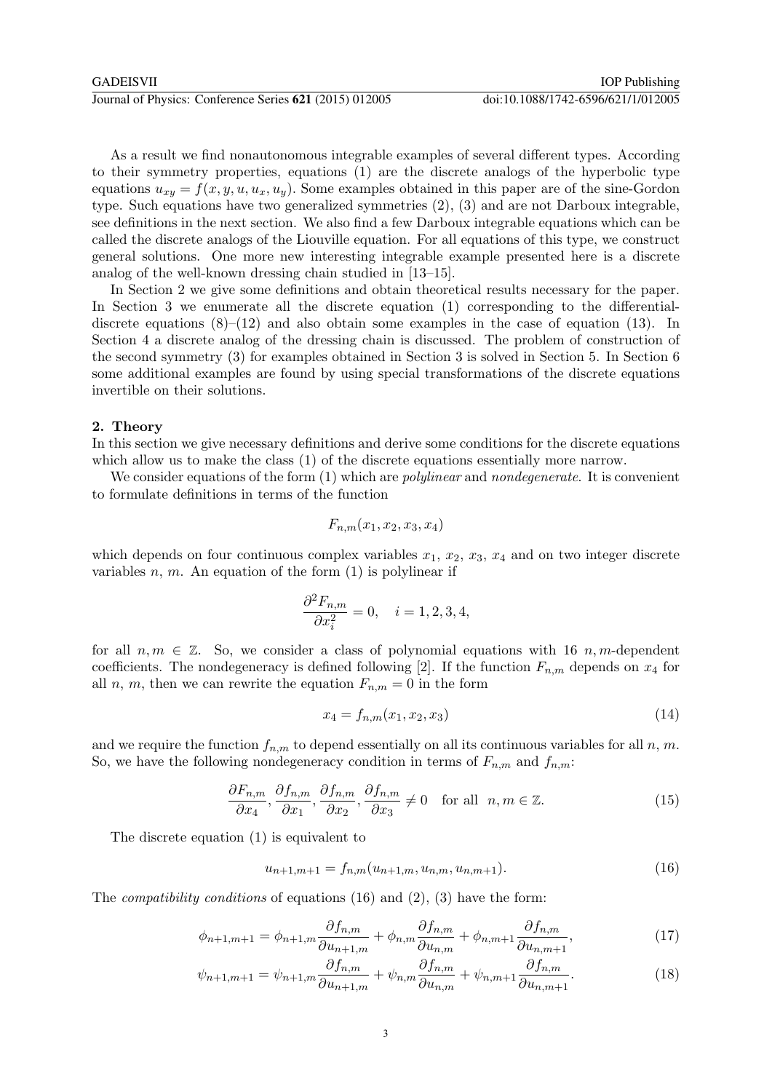As a result we find nonautonomous integrable examples of several different types. According to their symmetry properties, equations (1) are the discrete analogs of the hyperbolic type equations  $u_{xy} = f(x, y, u, u_x, u_y)$ . Some examples obtained in this paper are of the sine-Gordon type. Such equations have two generalized symmetries (2), (3) and are not Darboux integrable, see definitions in the next section. We also find a few Darboux integrable equations which can be called the discrete analogs of the Liouville equation. For all equations of this type, we construct general solutions. One more new interesting integrable example presented here is a discrete analog of the well-known dressing chain studied in [13–15].

In Section 2 we give some definitions and obtain theoretical results necessary for the paper. In Section 3 we enumerate all the discrete equation (1) corresponding to the differentialdiscrete equations  $(8)$ – $(12)$  and also obtain some examples in the case of equation (13). In Section 4 a discrete analog of the dressing chain is discussed. The problem of construction of the second symmetry (3) for examples obtained in Section 3 is solved in Section 5. In Section 6 some additional examples are found by using special transformations of the discrete equations invertible on their solutions.

# 2. Theory

In this section we give necessary definitions and derive some conditions for the discrete equations which allow us to make the class (1) of the discrete equations essentially more narrow.

We consider equations of the form (1) which are *polylinear* and *nondegenerate*. It is convenient to formulate definitions in terms of the function

$$
F_{n,m}(x_1, x_2, x_3, x_4)
$$

which depends on four continuous complex variables  $x_1, x_2, x_3, x_4$  and on two integer discrete variables  $n, m$ . An equation of the form  $(1)$  is polylinear if

$$
\frac{\partial^2 F_{n,m}}{\partial x_i^2} = 0, \quad i = 1, 2, 3, 4,
$$

for all  $n, m \in \mathbb{Z}$ . So, we consider a class of polynomial equations with 16 n, m-dependent coefficients. The nondegeneracy is defined following [2]. If the function  $F_{n,m}$  depends on  $x_4$  for all n, m, then we can rewrite the equation  $F_{n,m} = 0$  in the form

$$
x_4 = f_{n,m}(x_1, x_2, x_3) \tag{14}
$$

and we require the function  $f_{n,m}$  to depend essentially on all its continuous variables for all n, m. So, we have the following nondegeneracy condition in terms of  $F_{n,m}$  and  $f_{n,m}$ :

$$
\frac{\partial F_{n,m}}{\partial x_4}, \frac{\partial f_{n,m}}{\partial x_1}, \frac{\partial f_{n,m}}{\partial x_2}, \frac{\partial f_{n,m}}{\partial x_3} \neq 0 \quad \text{for all} \ \ n, m \in \mathbb{Z}.
$$
 (15)

The discrete equation (1) is equivalent to

$$
u_{n+1,m+1} = f_{n,m}(u_{n+1,m}, u_{n,m}, u_{n,m+1}).
$$
\n(16)

The *compatibility conditions* of equations  $(16)$  and  $(2)$ ,  $(3)$  have the form:

$$
\phi_{n+1,m+1} = \phi_{n+1,m} \frac{\partial f_{n,m}}{\partial u_{n+1,m}} + \phi_{n,m} \frac{\partial f_{n,m}}{\partial u_{n,m}} + \phi_{n,m+1} \frac{\partial f_{n,m}}{\partial u_{n,m+1}},\tag{17}
$$

$$
\psi_{n+1,m+1} = \psi_{n+1,m} \frac{\partial f_{n,m}}{\partial u_{n+1,m}} + \psi_{n,m} \frac{\partial f_{n,m}}{\partial u_{n,m}} + \psi_{n,m+1} \frac{\partial f_{n,m}}{\partial u_{n,m+1}}.
$$
(18)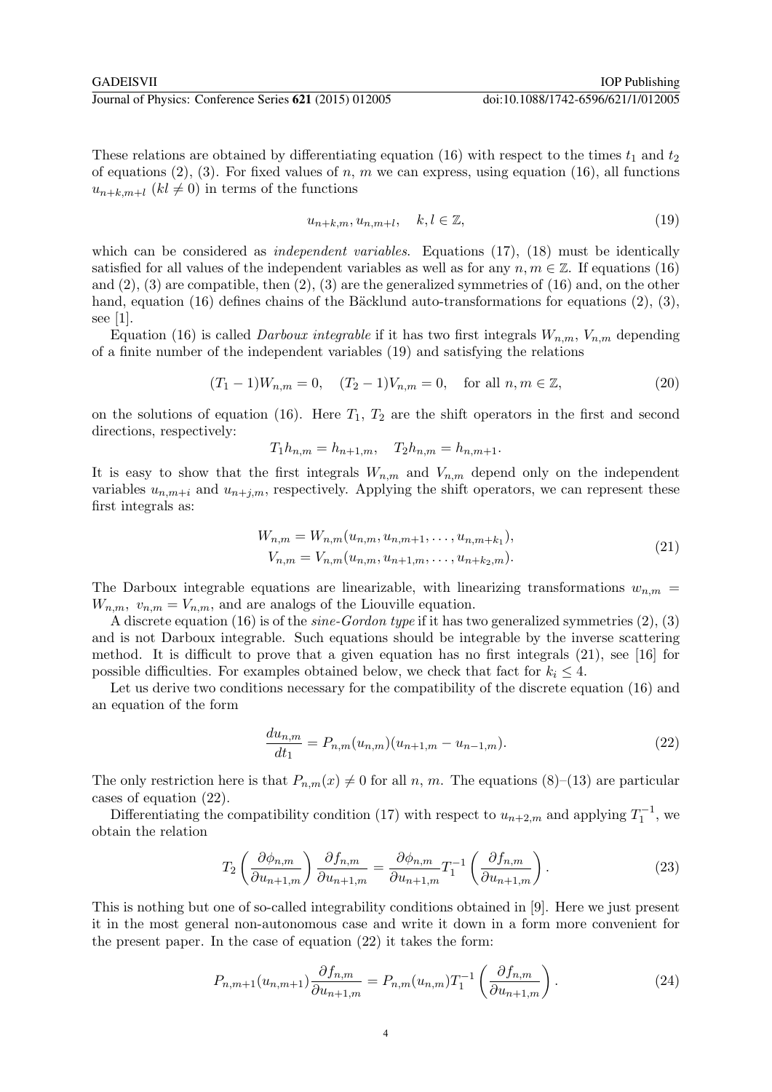These relations are obtained by differentiating equation (16) with respect to the times  $t_1$  and  $t_2$ of equations (2), (3). For fixed values of n, m we can express, using equation (16), all functions  $u_{n+k,m+l}$   $(kl \neq 0)$  in terms of the functions

$$
u_{n+k,m}, u_{n,m+l}, \quad k, l \in \mathbb{Z}, \tag{19}
$$

which can be considered as *independent variables*. Equations  $(17)$ ,  $(18)$  must be identically satisfied for all values of the independent variables as well as for any  $n, m \in \mathbb{Z}$ . If equations (16) and  $(2)$ ,  $(3)$  are compatible, then  $(2)$ ,  $(3)$  are the generalized symmetries of  $(16)$  and, on the other hand, equation (16) defines chains of the Bäcklund auto-transformations for equations  $(2), (3)$ , see [1].

Equation (16) is called *Darboux integrable* if it has two first integrals  $W_{n,m}$ ,  $V_{n,m}$  depending of a finite number of the independent variables (19) and satisfying the relations

$$
(T_1 - 1)W_{n,m} = 0, \quad (T_2 - 1)V_{n,m} = 0, \quad \text{for all } n, m \in \mathbb{Z},
$$
\n(20)

on the solutions of equation (16). Here  $T_1$ ,  $T_2$  are the shift operators in the first and second directions, respectively:

$$
T_1 h_{n,m} = h_{n+1,m}, \quad T_2 h_{n,m} = h_{n,m+1}.
$$

It is easy to show that the first integrals  $W_{n,m}$  and  $V_{n,m}$  depend only on the independent variables  $u_{n,m+i}$  and  $u_{n+j,m}$ , respectively. Applying the shift operators, we can represent these first integrals as:

$$
W_{n,m} = W_{n,m}(u_{n,m}, u_{n,m+1}, \dots, u_{n,m+k_1}),
$$
  
\n
$$
V_{n,m} = V_{n,m}(u_{n,m}, u_{n+1,m}, \dots, u_{n+k_2,m}).
$$
\n(21)

The Darboux integrable equations are linearizable, with linearizing transformations  $w_{n,m}$  =  $W_{n,m}$ ,  $v_{n,m} = V_{n,m}$ , and are analogs of the Liouville equation.

A discrete equation (16) is of the *sine-Gordon type* if it has two generalized symmetries  $(2)$ ,  $(3)$ and is not Darboux integrable. Such equations should be integrable by the inverse scattering method. It is difficult to prove that a given equation has no first integrals (21), see [16] for possible difficulties. For examples obtained below, we check that fact for  $k_i \leq 4$ .

Let us derive two conditions necessary for the compatibility of the discrete equation (16) and an equation of the form

$$
\frac{du_{n,m}}{dt_1} = P_{n,m}(u_{n,m})(u_{n+1,m} - u_{n-1,m}).
$$
\n(22)

The only restriction here is that  $P_{n,m}(x) \neq 0$  for all n, m. The equations (8)–(13) are particular cases of equation (22).

Differentiating the compatibility condition (17) with respect to  $u_{n+2,m}$  and applying  $T_1^{-1}$ , we obtain the relation

$$
T_2 \left( \frac{\partial \phi_{n,m}}{\partial u_{n+1,m}} \right) \frac{\partial f_{n,m}}{\partial u_{n+1,m}} = \frac{\partial \phi_{n,m}}{\partial u_{n+1,m}} T_1^{-1} \left( \frac{\partial f_{n,m}}{\partial u_{n+1,m}} \right). \tag{23}
$$

This is nothing but one of so-called integrability conditions obtained in [9]. Here we just present it in the most general non-autonomous case and write it down in a form more convenient for the present paper. In the case of equation (22) it takes the form:

$$
P_{n,m+1}(u_{n,m+1})\frac{\partial f_{n,m}}{\partial u_{n+1,m}} = P_{n,m}(u_{n,m})T_1^{-1}\left(\frac{\partial f_{n,m}}{\partial u_{n+1,m}}\right). \tag{24}
$$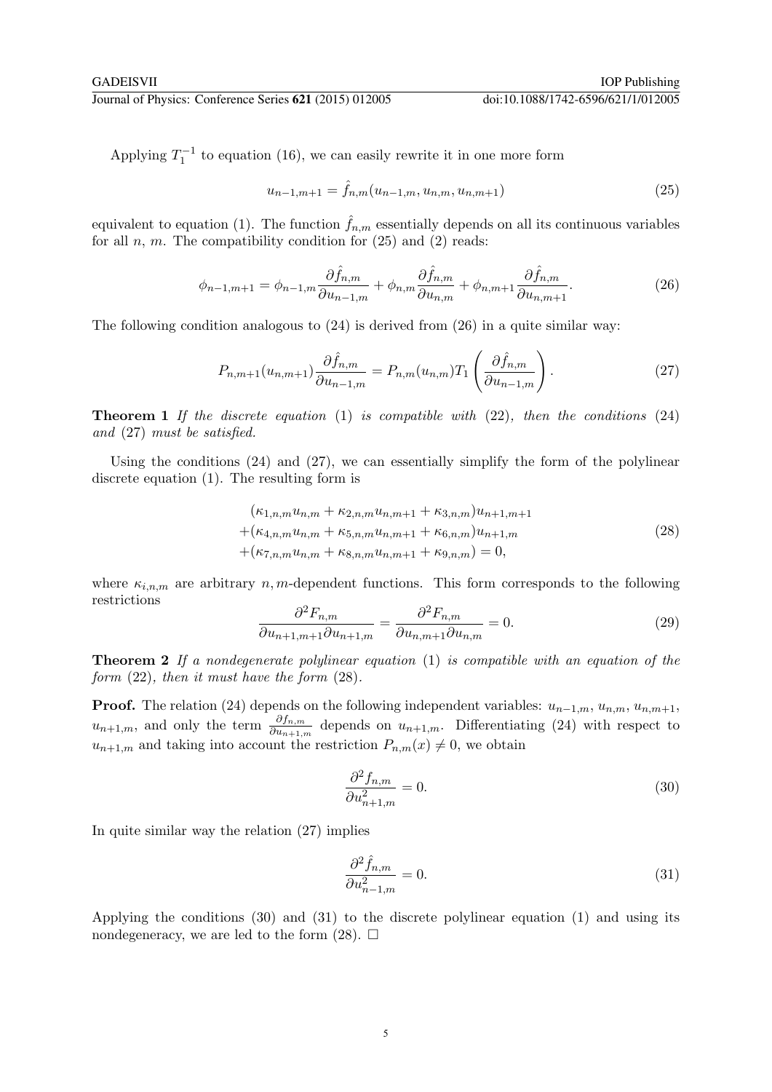GADEISVII IOP Publishing

Applying  $T_1^{-1}$  to equation (16), we can easily rewrite it in one more form

$$
u_{n-1,m+1} = \hat{f}_{n,m}(u_{n-1,m}, u_{n,m}, u_{n,m+1})
$$
\n(25)

equivalent to equation (1). The function  $\hat{f}_{n,m}$  essentially depends on all its continuous variables for all  $n, m$ . The compatibility condition for  $(25)$  and  $(2)$  reads:

$$
\phi_{n-1,m+1} = \phi_{n-1,m} \frac{\partial \hat{f}_{n,m}}{\partial u_{n-1,m}} + \phi_{n,m} \frac{\partial \hat{f}_{n,m}}{\partial u_{n,m}} + \phi_{n,m+1} \frac{\partial \hat{f}_{n,m}}{\partial u_{n,m+1}}.
$$
(26)

The following condition analogous to (24) is derived from (26) in a quite similar way:

$$
P_{n,m+1}(u_{n,m+1})\frac{\partial \hat{f}_{n,m}}{\partial u_{n-1,m}} = P_{n,m}(u_{n,m})T_1\left(\frac{\partial \hat{f}_{n,m}}{\partial u_{n-1,m}}\right). \tag{27}
$$

**Theorem 1** If the discrete equation  $(1)$  is compatible with  $(22)$ , then the conditions  $(24)$ and (27) must be satisfied.

Using the conditions  $(24)$  and  $(27)$ , we can essentially simplify the form of the polylinear discrete equation (1). The resulting form is

$$
(\kappa_{1,n,m}u_{n,m} + \kappa_{2,n,m}u_{n,m+1} + \kappa_{3,n,m})u_{n+1,m+1}
$$
  
+
$$
(\kappa_{4,n,m}u_{n,m} + \kappa_{5,n,m}u_{n,m+1} + \kappa_{6,n,m})u_{n+1,m}
$$
  
+
$$
(\kappa_{7,n,m}u_{n,m} + \kappa_{8,n,m}u_{n,m+1} + \kappa_{9,n,m}) = 0,
$$
\n(28)

where  $\kappa_{i,n,m}$  are arbitrary n, m-dependent functions. This form corresponds to the following restrictions ∂ ∂

$$
\frac{\partial^2 F_{n,m}}{\partial u_{n+1,m+1}\partial u_{n+1,m}} = \frac{\partial^2 F_{n,m}}{\partial u_{n,m+1}\partial u_{n,m}} = 0.
$$
\n(29)

**Theorem 2** If a nondegenerate polylinear equation  $(1)$  is compatible with an equation of the form (22), then it must have the form (28).

**Proof.** The relation (24) depends on the following independent variables:  $u_{n-1,m}$ ,  $u_{n,m}$ ,  $u_{n,m+1}$ ,  $u_{n+1,m}$ , and only the term  $\frac{\partial f_{n,m}}{\partial u_{n+1,m}}$  depends on  $u_{n+1,m}$ . Differentiating (24) with respect to  $u_{n+1,m}$  and taking into account the restriction  $P_{n,m}(x) \neq 0$ , we obtain

$$
\frac{\partial^2 f_{n,m}}{\partial u_{n+1,m}^2} = 0.
$$
\n(30)

In quite similar way the relation (27) implies

$$
\frac{\partial^2 \hat{f}_{n,m}}{\partial u_{n-1,m}^2} = 0.
$$
\n(31)

Applying the conditions (30) and (31) to the discrete polylinear equation (1) and using its nondegeneracy, we are led to the form  $(28)$ .  $\Box$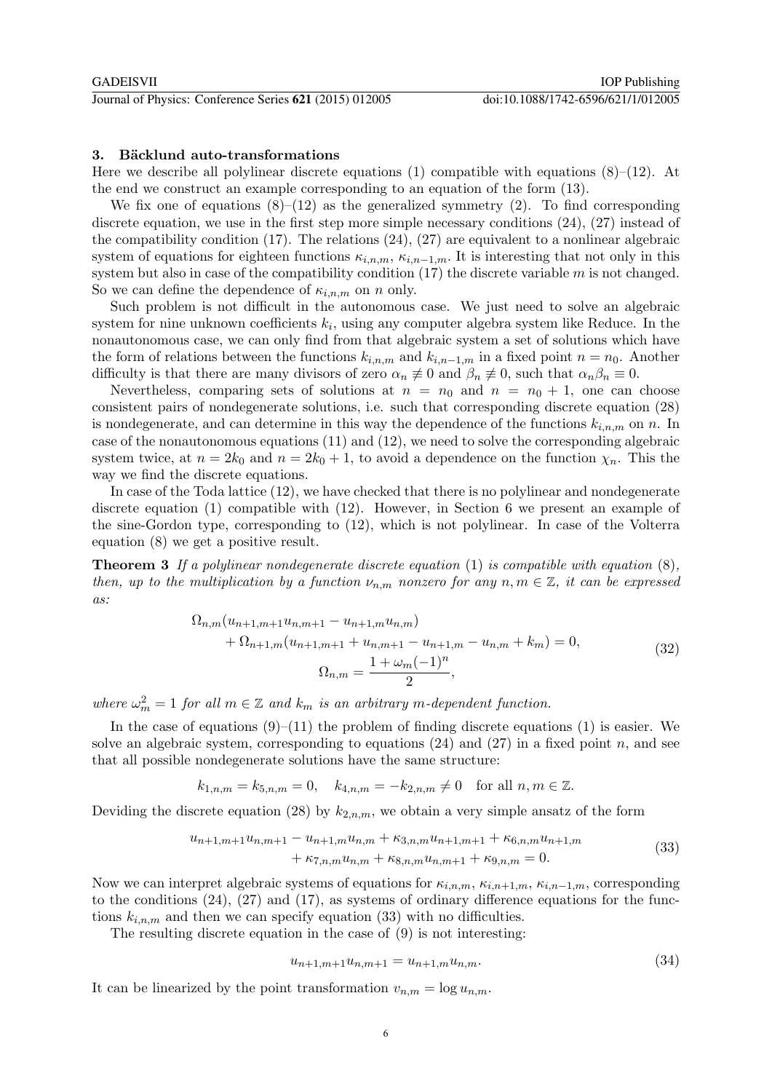# 3. Bäcklund auto-transformations

Here we describe all polylinear discrete equations (1) compatible with equations  $(8)$ – $(12)$ . At the end we construct an example corresponding to an equation of the form (13).

We fix one of equations  $(8)$ – $(12)$  as the generalized symmetry  $(2)$ . To find corresponding discrete equation, we use in the first step more simple necessary conditions (24), (27) instead of the compatibility condition (17). The relations (24), (27) are equivalent to a nonlinear algebraic system of equations for eighteen functions  $\kappa_{i,n,m}$ ,  $\kappa_{i,n-1,m}$ . It is interesting that not only in this system but also in case of the compatibility condition  $(17)$  the discrete variable m is not changed. So we can define the dependence of  $\kappa_{i,n,m}$  on n only.

Such problem is not difficult in the autonomous case. We just need to solve an algebraic system for nine unknown coefficients  $k_i$ , using any computer algebra system like Reduce. In the nonautonomous case, we can only find from that algebraic system a set of solutions which have the form of relations between the functions  $k_{i,n,m}$  and  $k_{i,n-1,m}$  in a fixed point  $n = n_0$ . Another difficulty is that there are many divisors of zero  $\alpha_n \neq 0$  and  $\beta_n \neq 0$ , such that  $\alpha_n \beta_n \equiv 0$ .

Nevertheless, comparing sets of solutions at  $n = n_0$  and  $n = n_0 + 1$ , one can choose consistent pairs of nondegenerate solutions, i.e. such that corresponding discrete equation (28) is nondegenerate, and can determine in this way the dependence of the functions  $k_{i,n,m}$  on n. In case of the nonautonomous equations (11) and (12), we need to solve the corresponding algebraic system twice, at  $n = 2k_0$  and  $n = 2k_0 + 1$ , to avoid a dependence on the function  $\chi_n$ . This the way we find the discrete equations.

In case of the Toda lattice (12), we have checked that there is no polylinear and nondegenerate discrete equation (1) compatible with (12). However, in Section 6 we present an example of the sine-Gordon type, corresponding to (12), which is not polylinear. In case of the Volterra equation (8) we get a positive result.

**Theorem 3** If a polylinear nondegenerate discrete equation (1) is compatible with equation  $(8)$ , then, up to the multiplication by a function  $\nu_{n,m}$  nonzero for any  $n, m \in \mathbb{Z}$ , it can be expressed as:

$$
\Omega_{n,m}(u_{n+1,m+1}u_{n,m+1} - u_{n+1,m}u_{n,m})
$$
  
+ 
$$
\Omega_{n+1,m}(u_{n+1,m+1} + u_{n,m+1} - u_{n+1,m} - u_{n,m} + k_m) = 0,
$$
  

$$
\Omega_{n,m} = \frac{1 + \omega_m(-1)^n}{2},
$$
 (32)

where  $\omega_m^2 = 1$  for all  $m \in \mathbb{Z}$  and  $k_m$  is an arbitrary m-dependent function.

In the case of equations  $(9)-(11)$  the problem of finding discrete equations (1) is easier. We solve an algebraic system, corresponding to equations  $(24)$  and  $(27)$  in a fixed point n, and see that all possible nondegenerate solutions have the same structure:

$$
k_{1,n,m} = k_{5,n,m} = 0
$$
,  $k_{4,n,m} = -k_{2,n,m} \neq 0$  for all  $n, m \in \mathbb{Z}$ .

Deviding the discrete equation (28) by  $k_{2,n,m}$ , we obtain a very simple ansatz of the form

$$
u_{n+1,m+1}u_{n,m+1} - u_{n+1,m}u_{n,m} + \kappa_{3,n,m}u_{n+1,m+1} + \kappa_{6,n,m}u_{n+1,m} + \kappa_{7,n,m}u_{n,m} + \kappa_{8,n,m}u_{n,m+1} + \kappa_{9,n,m} = 0.
$$
\n(33)

Now we can interpret algebraic systems of equations for  $\kappa_{i,n,m}$ ,  $\kappa_{i,n+1,m}$ ,  $\kappa_{i,n-1,m}$ , corresponding to the conditions (24), (27) and (17), as systems of ordinary difference equations for the functions  $k_{i,n,m}$  and then we can specify equation (33) with no difficulties.

The resulting discrete equation in the case of (9) is not interesting:

$$
u_{n+1,m+1}u_{n,m+1} = u_{n+1,m}u_{n,m}.\tag{34}
$$

It can be linearized by the point transformation  $v_{n,m} = \log u_{n,m}$ .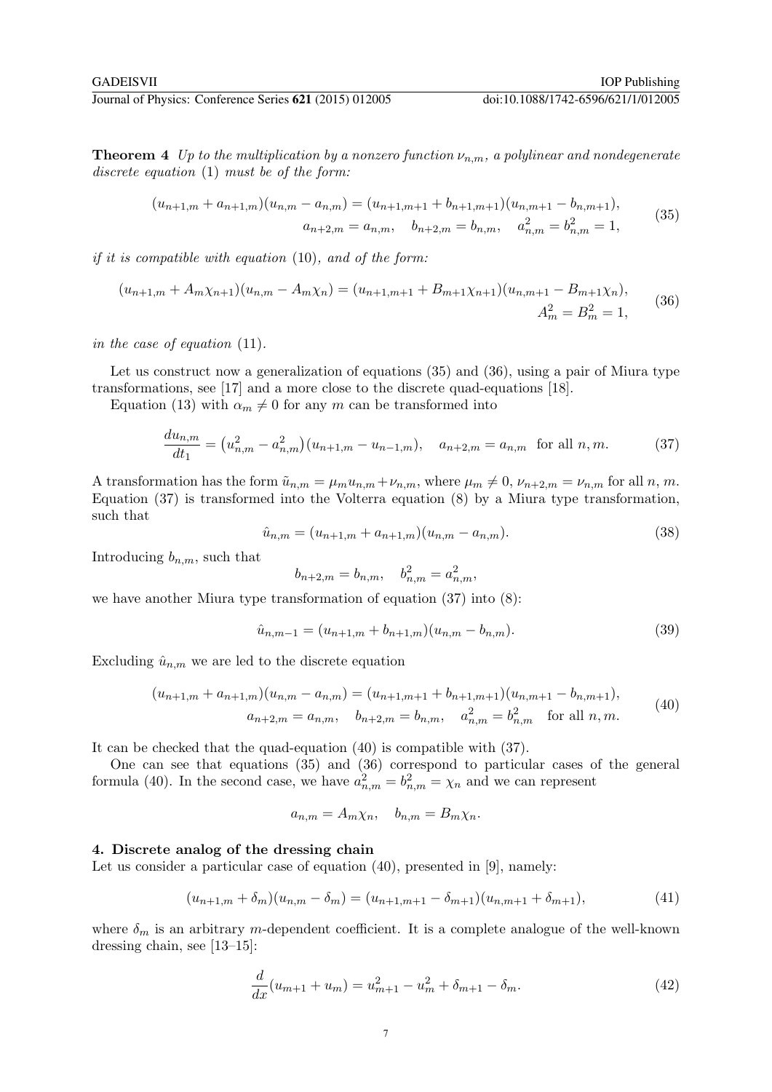**Theorem 4** Up to the multiplication by a nonzero function  $\nu_{n,m}$ , a polylinear and nondegenerate discrete equation (1) must be of the form:

$$
(u_{n+1,m} + a_{n+1,m})(u_{n,m} - a_{n,m}) = (u_{n+1,m+1} + b_{n+1,m+1})(u_{n,m+1} - b_{n,m+1}),
$$
  
\n
$$
a_{n+2,m} = a_{n,m}, \quad b_{n+2,m} = b_{n,m}, \quad a_{n,m}^2 = b_{n,m}^2 = 1,
$$
\n(35)

*if it is compatible with equation*  $(10)$ *, and of the form:* 

$$
(u_{n+1,m} + A_m \chi_{n+1})(u_{n,m} - A_m \chi_n) = (u_{n+1,m+1} + B_{m+1} \chi_{n+1})(u_{n,m+1} - B_{m+1} \chi_n),
$$
  

$$
A_m^2 = B_m^2 = 1,
$$
 (36)

in the case of equation (11).

Let us construct now a generalization of equations (35) and (36), using a pair of Miura type transformations, see [17] and a more close to the discrete quad-equations [18].

Equation (13) with  $\alpha_m \neq 0$  for any m can be transformed into

$$
\frac{du_{n,m}}{dt_1} = (u_{n,m}^2 - a_{n,m}^2)(u_{n+1,m} - u_{n-1,m}), \quad a_{n+2,m} = a_{n,m} \text{ for all } n,m. \tag{37}
$$

A transformation has the form  $\tilde{u}_{n,m} = \mu_m u_{n,m} + \nu_{n,m}$ , where  $\mu_m \neq 0$ ,  $\nu_{n+2,m} = \nu_{n,m}$  for all n, m. Equation (37) is transformed into the Volterra equation (8) by a Miura type transformation, such that

$$
\hat{u}_{n,m} = (u_{n+1,m} + a_{n+1,m})(u_{n,m} - a_{n,m}).\tag{38}
$$

Introducing  $b_{n,m}$ , such that

$$
b_{n+2,m} = b_{n,m}, \quad b_{n,m}^2 = a_{n,m}^2,
$$

we have another Miura type transformation of equation (37) into (8):

$$
\hat{u}_{n,m-1} = (u_{n+1,m} + b_{n+1,m})(u_{n,m} - b_{n,m}).
$$
\n(39)

Excluding  $\hat{u}_{n,m}$  we are led to the discrete equation

$$
(u_{n+1,m} + a_{n+1,m})(u_{n,m} - a_{n,m}) = (u_{n+1,m+1} + b_{n+1,m+1})(u_{n,m+1} - b_{n,m+1}),
$$
  
\n
$$
a_{n+2,m} = a_{n,m}, \quad b_{n+2,m} = b_{n,m}, \quad a_{n,m}^2 = b_{n,m}^2 \quad \text{for all } n, m.
$$
\n(40)

It can be checked that the quad-equation (40) is compatible with (37).

One can see that equations (35) and (36) correspond to particular cases of the general formula (40). In the second case, we have  $a_{n,m}^2 = b_{n,m}^2 = \chi_n$  and we can represent

 $a_{n,m} = A_m \chi_n, \quad b_{n,m} = B_m \chi_n.$ 

# 4. Discrete analog of the dressing chain

Let us consider a particular case of equation (40), presented in [9], namely:

$$
(u_{n+1,m} + \delta_m)(u_{n,m} - \delta_m) = (u_{n+1,m+1} - \delta_{m+1})(u_{n,m+1} + \delta_{m+1}),
$$
\n(41)

where  $\delta_m$  is an arbitrary m-dependent coefficient. It is a complete analogue of the well-known dressing chain, see [13–15]:

$$
\frac{d}{dx}(u_{m+1} + u_m) = u_{m+1}^2 - u_m^2 + \delta_{m+1} - \delta_m.
$$
\n(42)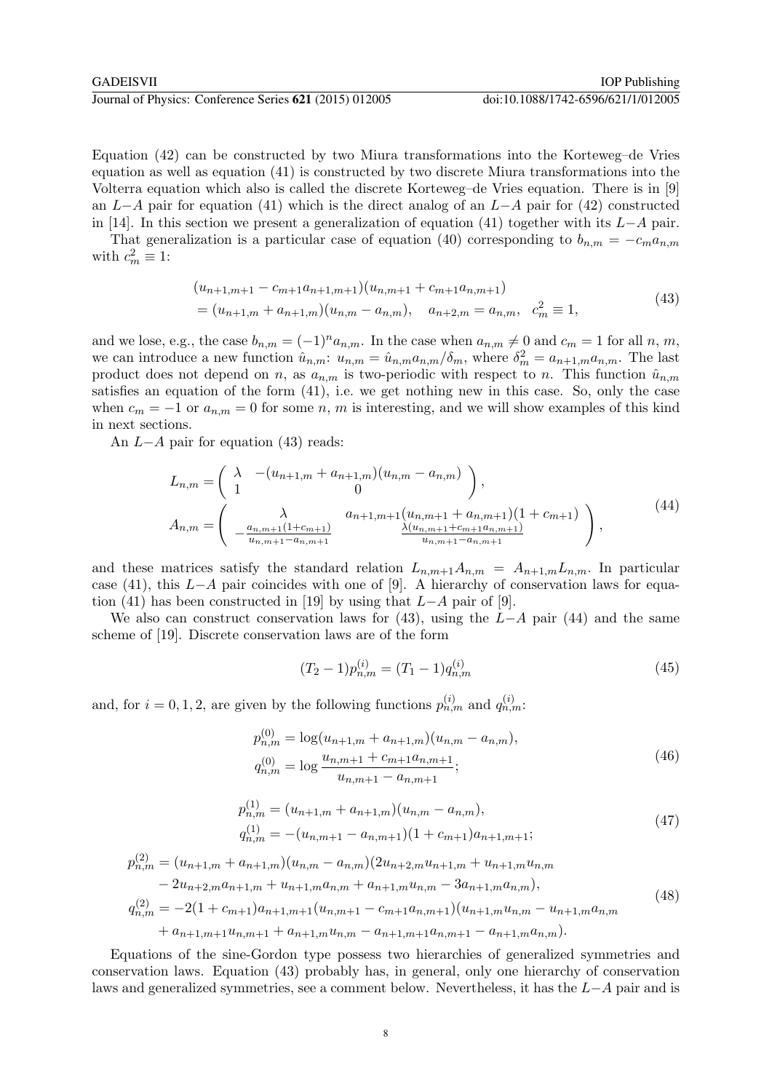Equation (42) can be constructed by two Miura transformations into the Korteweg–de Vries equation as well as equation (41) is constructed by two discrete Miura transformations into the Volterra equation which also is called the discrete Korteweg–de Vries equation. There is in [9] an  $L-A$  pair for equation (41) which is the direct analog of an  $L-A$  pair for (42) constructed in [14]. In this section we present a generalization of equation (41) together with its  $L-A$  pair.

That generalization is a particular case of equation (40) corresponding to  $b_{n,m} = -c_m a_{n,m}$ with  $c_m^2 \equiv 1$ :

$$
(u_{n+1,m+1} - c_{m+1}a_{n+1,m+1})(u_{n,m+1} + c_{m+1}a_{n,m+1})
$$
  
=  $(u_{n+1,m} + a_{n+1,m})(u_{n,m} - a_{n,m}), \quad a_{n+2,m} = a_{n,m}, \quad c_m^2 \equiv 1,$  (43)

and we lose, e.g., the case  $b_{n,m} = (-1)^n a_{n,m}$ . In the case when  $a_{n,m} \neq 0$  and  $c_m = 1$  for all n, m, we can introduce a new function  $\hat{u}_{n,m}: u_{n,m} = \hat{u}_{n,m} a_{n,m}/\delta_m$ , where  $\delta_m^2 = a_{n+1,m} a_{n,m}$ . The last product does not depend on n, as  $a_{n,m}$  is two-periodic with respect to n. This function  $\hat{u}_{n,m}$ satisfies an equation of the form  $(41)$ , i.e. we get nothing new in this case. So, only the case when  $c_m = -1$  or  $a_{n,m} = 0$  for some n, m is interesting, and we will show examples of this kind in next sections.

An L−A pair for equation (43) reads:

$$
L_{n,m} = \begin{pmatrix} \lambda & -(u_{n+1,m} + a_{n+1,m})(u_{n,m} - a_{n,m}) \\ 1 & 0 \end{pmatrix},
$$
  
\n
$$
A_{n,m} = \begin{pmatrix} \lambda & a_{n+1,m+1}(u_{n,m+1} + a_{n,m+1})(1 + c_{m+1}) \\ -\frac{a_{n,m+1}(1 + c_{m+1})}{u_{n,m+1} - a_{n,m+1}} & \frac{\lambda(u_{n,m+1} + c_{m+1}a_{n,m+1})}{u_{n,m+1} - a_{n,m+1}} \end{pmatrix},
$$
\n
$$
(44)
$$

and these matrices satisfy the standard relation  $L_{n,m+1}A_{n,m} = A_{n+1,m}L_{n,m}$ . In particular case (41), this L−A pair coincides with one of [9]. A hierarchy of conservation laws for equation (41) has been constructed in [19] by using that  $L-A$  pair of [9].

We also can construct conservation laws for  $(43)$ , using the L−A pair  $(44)$  and the same scheme of [19]. Discrete conservation laws are of the form

$$
(T_2 - 1)p_{n,m}^{(i)} = (T_1 - 1)q_{n,m}^{(i)}
$$
\n(45)

and, for  $i = 0, 1, 2$ , are given by the following functions  $p_{n,m}^{(i)}$  and  $q_{n,m}^{(i)}$ .

$$
p_{n,m}^{(0)} = \log(u_{n+1,m} + a_{n+1,m})(u_{n,m} - a_{n,m}),
$$
  
\n
$$
q_{n,m}^{(0)} = \log \frac{u_{n,m+1} + c_{m+1}a_{n,m+1}}{u_{n,m+1} - a_{n,m+1}};
$$
\n(46)

$$
p_{n,m}^{(1)} = (u_{n+1,m} + a_{n+1,m})(u_{n,m} - a_{n,m}),
$$
  
\n
$$
q_{n,m}^{(1)} = -(u_{n,m+1} - a_{n,m+1})(1 + c_{m+1})a_{n+1,m+1};
$$
\n(47)

$$
p_{n,m}^{(2)} = (u_{n+1,m} + a_{n+1,m})(u_{n,m} - a_{n,m})(2u_{n+2,m}u_{n+1,m} + u_{n+1,m}u_{n,m} - 2u_{n+2,m}a_{n+1,m} + u_{n+1,m}a_{n,m} + a_{n+1,m}u_{n,m} - 3a_{n+1,m}a_{n,m}),
$$
  
\n
$$
q_{n,m}^{(2)} = -2(1 + c_{m+1})a_{n+1,m+1}(u_{n,m+1} - c_{m+1}a_{n,m+1})(u_{n+1,m}u_{n,m} - u_{n+1,m}a_{n,m} - a_{n+1,m+1}u_{n,m+1} + a_{n+1,m}u_{n,m} - a_{n+1,m+1}a_{n,m+1} - a_{n+1,m}a_{n,m}).
$$
\n(48)

Equations of the sine-Gordon type possess two hierarchies of generalized symmetries and conservation laws. Equation (43) probably has, in general, only one hierarchy of conservation laws and generalized symmetries, see a comment below. Nevertheless, it has the L−A pair and is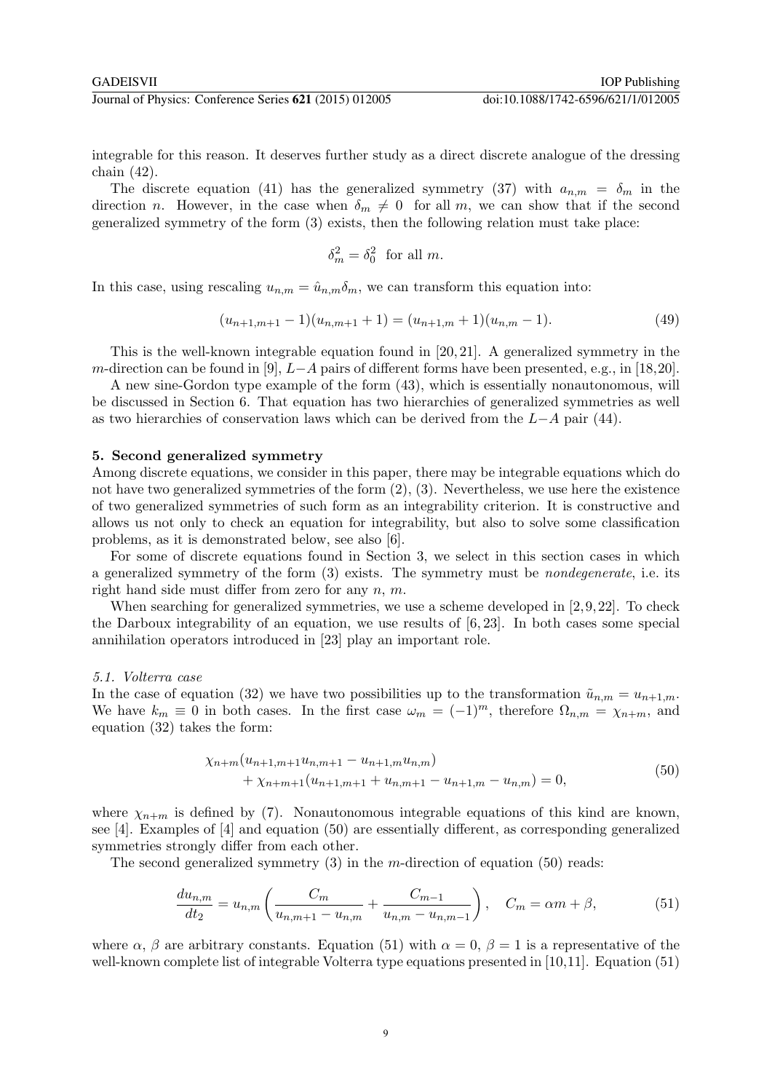integrable for this reason. It deserves further study as a direct discrete analogue of the dressing chain (42).

The discrete equation (41) has the generalized symmetry (37) with  $a_{n,m} = \delta_m$  in the direction n. However, in the case when  $\delta_m \neq 0$  for all m, we can show that if the second generalized symmetry of the form (3) exists, then the following relation must take place:

$$
\delta_m^2 = \delta_0^2 \text{ for all } m.
$$

In this case, using rescaling  $u_{n,m} = \hat{u}_{n,m}\delta_m$ , we can transform this equation into:

$$
(u_{n+1,m+1}-1)(u_{n,m+1}+1) = (u_{n+1,m}+1)(u_{n,m}-1). \tag{49}
$$

This is the well-known integrable equation found in [20, 21]. A generalized symmetry in the m-direction can be found in [9],  $L-A$  pairs of different forms have been presented, e.g., in [18,20].

A new sine-Gordon type example of the form (43), which is essentially nonautonomous, will be discussed in Section 6. That equation has two hierarchies of generalized symmetries as well as two hierarchies of conservation laws which can be derived from the L−A pair (44).

#### 5. Second generalized symmetry

Among discrete equations, we consider in this paper, there may be integrable equations which do not have two generalized symmetries of the form  $(2), (3)$ . Nevertheless, we use here the existence of two generalized symmetries of such form as an integrability criterion. It is constructive and allows us not only to check an equation for integrability, but also to solve some classification problems, as it is demonstrated below, see also [6].

For some of discrete equations found in Section 3, we select in this section cases in which a generalized symmetry of the form (3) exists. The symmetry must be nondegenerate, i.e. its right hand side must differ from zero for any  $n, m$ .

When searching for generalized symmetries, we use a scheme developed in  $[2, 9, 22]$ . To check the Darboux integrability of an equation, we use results of [6, 23]. In both cases some special annihilation operators introduced in [23] play an important role.

#### 5.1. Volterra case

In the case of equation (32) we have two possibilities up to the transformation  $\tilde{u}_{n,m} = u_{n+1,m}$ . We have  $k_m \equiv 0$  in both cases. In the first case  $\omega_m = (-1)^m$ , therefore  $\Omega_{n,m} = \chi_{n+m}$ , and equation (32) takes the form:

$$
\chi_{n+m}(u_{n+1,m+1}u_{n,m+1} - u_{n+1,m}u_{n,m})
$$
  
+  $\chi_{n+m+1}(u_{n+1,m+1} + u_{n,m+1} - u_{n+1,m} - u_{n,m}) = 0,$  (50)

where  $\chi_{n+m}$  is defined by (7). Nonautonomous integrable equations of this kind are known, see [4]. Examples of [4] and equation (50) are essentially different, as corresponding generalized symmetries strongly differ from each other.

The second generalized symmetry  $(3)$  in the *m*-direction of equation  $(50)$  reads:

$$
\frac{du_{n,m}}{dt_2} = u_{n,m} \left( \frac{C_m}{u_{n,m+1} - u_{n,m}} + \frac{C_{m-1}}{u_{n,m} - u_{n,m-1}} \right), \quad C_m = \alpha m + \beta,
$$
\n(51)

where  $\alpha$ ,  $\beta$  are arbitrary constants. Equation (51) with  $\alpha = 0$ ,  $\beta = 1$  is a representative of the well-known complete list of integrable Volterra type equations presented in [10,11]. Equation (51)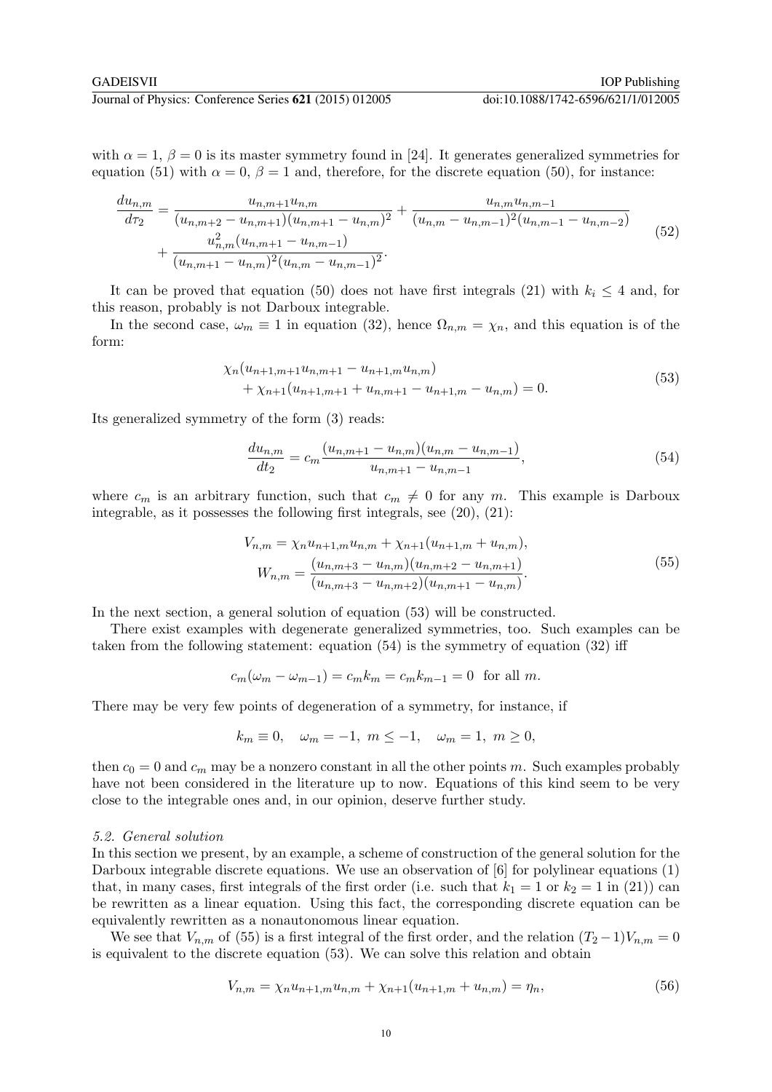with  $\alpha = 1, \beta = 0$  is its master symmetry found in [24]. It generates generalized symmetries for equation (51) with  $\alpha = 0$ ,  $\beta = 1$  and, therefore, for the discrete equation (50), for instance:

$$
\frac{du_{n,m}}{d\tau_2} = \frac{u_{n,m+1}u_{n,m}}{(u_{n,m+2} - u_{n,m+1})(u_{n,m+1} - u_{n,m})^2} + \frac{u_{n,m}u_{n,m-1}}{(u_{n,m} - u_{n,m-1})^2(u_{n,m-1} - u_{n,m-2})} + \frac{u_{n,m}^2(u_{n,m+1} - u_{n,m-1})}{(u_{n,m+1} - u_{n,m})^2(u_{n,m} - u_{n,m-1})^2}.
$$
\n
$$
(52)
$$

It can be proved that equation (50) does not have first integrals (21) with  $k_i \leq 4$  and, for this reason, probably is not Darboux integrable.

In the second case,  $\omega_m \equiv 1$  in equation (32), hence  $\Omega_{n,m} = \chi_n$ , and this equation is of the form:

$$
\chi_n(u_{n+1,m+1}u_{n,m+1} - u_{n+1,m}u_{n,m}) + \chi_{n+1}(u_{n+1,m+1} + u_{n,m+1} - u_{n+1,m} - u_{n,m}) = 0.
$$
\n(53)

Its generalized symmetry of the form (3) reads:

$$
\frac{du_{n,m}}{dt_2} = c_m \frac{(u_{n,m+1} - u_{n,m})(u_{n,m} - u_{n,m-1})}{u_{n,m+1} - u_{n,m-1}},
$$
\n(54)

where  $c_m$  is an arbitrary function, such that  $c_m \neq 0$  for any m. This example is Darboux integrable, as it possesses the following first integrals, see (20), (21):

$$
V_{n,m} = \chi_n u_{n+1,m} u_{n,m} + \chi_{n+1}(u_{n+1,m} + u_{n,m}),
$$
  
\n
$$
W_{n,m} = \frac{(u_{n,m+3} - u_{n,m})(u_{n,m+2} - u_{n,m+1})}{(u_{n,m+3} - u_{n,m+2})(u_{n,m+1} - u_{n,m})}.
$$
\n(55)

In the next section, a general solution of equation (53) will be constructed.

There exist examples with degenerate generalized symmetries, too. Such examples can be taken from the following statement: equation (54) is the symmetry of equation (32) iff

$$
c_m(\omega_m - \omega_{m-1}) = c_m k_m = c_m k_{m-1} = 0
$$
 for all m.

There may be very few points of degeneration of a symmetry, for instance, if

$$
k_m \equiv 0, \quad \omega_m = -1, \ m \le -1, \quad \omega_m = 1, \ m \ge 0,
$$

then  $c_0 = 0$  and  $c_m$  may be a nonzero constant in all the other points m. Such examples probably have not been considered in the literature up to now. Equations of this kind seem to be very close to the integrable ones and, in our opinion, deserve further study.

#### 5.2. General solution

In this section we present, by an example, a scheme of construction of the general solution for the Darboux integrable discrete equations. We use an observation of [6] for polylinear equations (1) that, in many cases, first integrals of the first order (i.e. such that  $k_1 = 1$  or  $k_2 = 1$  in (21)) can be rewritten as a linear equation. Using this fact, the corresponding discrete equation can be equivalently rewritten as a nonautonomous linear equation.

We see that  $V_{n,m}$  of (55) is a first integral of the first order, and the relation  $(T_2-1)V_{n,m}=0$ is equivalent to the discrete equation (53). We can solve this relation and obtain

$$
V_{n,m} = \chi_n u_{n+1,m} u_{n,m} + \chi_{n+1}(u_{n+1,m} + u_{n,m}) = \eta_n,
$$
\n(56)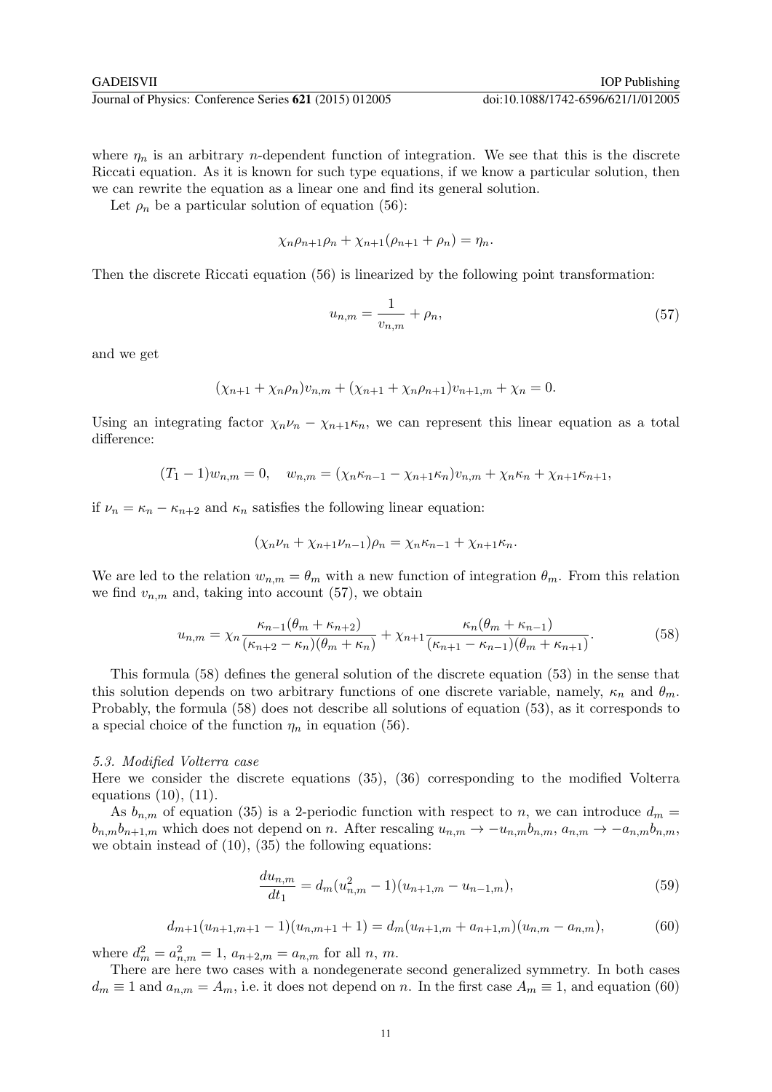where  $\eta_n$  is an arbitrary *n*-dependent function of integration. We see that this is the discrete Riccati equation. As it is known for such type equations, if we know a particular solution, then we can rewrite the equation as a linear one and find its general solution.

Let  $\rho_n$  be a particular solution of equation (56):

$$
\chi_n \rho_{n+1} \rho_n + \chi_{n+1} (\rho_{n+1} + \rho_n) = \eta_n.
$$

Then the discrete Riccati equation (56) is linearized by the following point transformation:

$$
u_{n,m} = \frac{1}{v_{n,m}} + \rho_n,\tag{57}
$$

and we get

$$
(\chi_{n+1} + \chi_n \rho_n)v_{n,m} + (\chi_{n+1} + \chi_n \rho_{n+1})v_{n+1,m} + \chi_n = 0.
$$

Using an integrating factor  $\chi_n \nu_n - \chi_{n+1} \kappa_n$ , we can represent this linear equation as a total difference:

$$
(T_1 - 1)w_{n,m} = 0, \quad w_{n,m} = (\chi_n \kappa_{n-1} - \chi_{n+1} \kappa_n)v_{n,m} + \chi_n \kappa_n + \chi_{n+1} \kappa_{n+1},
$$

if  $\nu_n = \kappa_n - \kappa_{n+2}$  and  $\kappa_n$  satisfies the following linear equation:

$$
(\chi_n \nu_n + \chi_{n+1} \nu_{n-1})\rho_n = \chi_n \kappa_{n-1} + \chi_{n+1} \kappa_n.
$$

We are led to the relation  $w_{n,m} = \theta_m$  with a new function of integration  $\theta_m$ . From this relation we find  $v_{n,m}$  and, taking into account (57), we obtain

$$
u_{n,m} = \chi_n \frac{\kappa_{n-1}(\theta_m + \kappa_{n+2})}{(\kappa_{n+2} - \kappa_n)(\theta_m + \kappa_n)} + \chi_{n+1} \frac{\kappa_n(\theta_m + \kappa_{n-1})}{(\kappa_{n+1} - \kappa_{n-1})(\theta_m + \kappa_{n+1})}.
$$
(58)

This formula (58) defines the general solution of the discrete equation (53) in the sense that this solution depends on two arbitrary functions of one discrete variable, namely,  $\kappa_n$  and  $\theta_m$ . Probably, the formula (58) does not describe all solutions of equation (53), as it corresponds to a special choice of the function  $\eta_n$  in equation (56).

#### 5.3. Modified Volterra case

Here we consider the discrete equations (35), (36) corresponding to the modified Volterra equations  $(10)$ ,  $(11)$ .

As  $b_{n,m}$  of equation (35) is a 2-periodic function with respect to n, we can introduce  $d_m =$  $b_{n,m}b_{n+1,m}$  which does not depend on n. After rescaling  $u_{n,m} \to -u_{n,m}b_{n,m}$ ,  $a_{n,m} \to -a_{n,m}b_{n,m}$ , we obtain instead of (10), (35) the following equations:

$$
\frac{du_{n,m}}{dt_1} = d_m(u_{n,m}^2 - 1)(u_{n+1,m} - u_{n-1,m}),
$$
\n(59)

$$
d_{m+1}(u_{n+1,m+1}-1)(u_{n,m+1}+1) = d_m(u_{n+1,m}+a_{n+1,m})(u_{n,m}-a_{n,m}),
$$
\n(60)

where  $d_m^2 = a_{n,m}^2 = 1$ ,  $a_{n+2,m} = a_{n,m}$  for all n, m.

There are here two cases with a nondegenerate second generalized symmetry. In both cases  $d_m \equiv 1$  and  $a_{n,m} = A_m$ , i.e. it does not depend on n. In the first case  $A_m \equiv 1$ , and equation (60)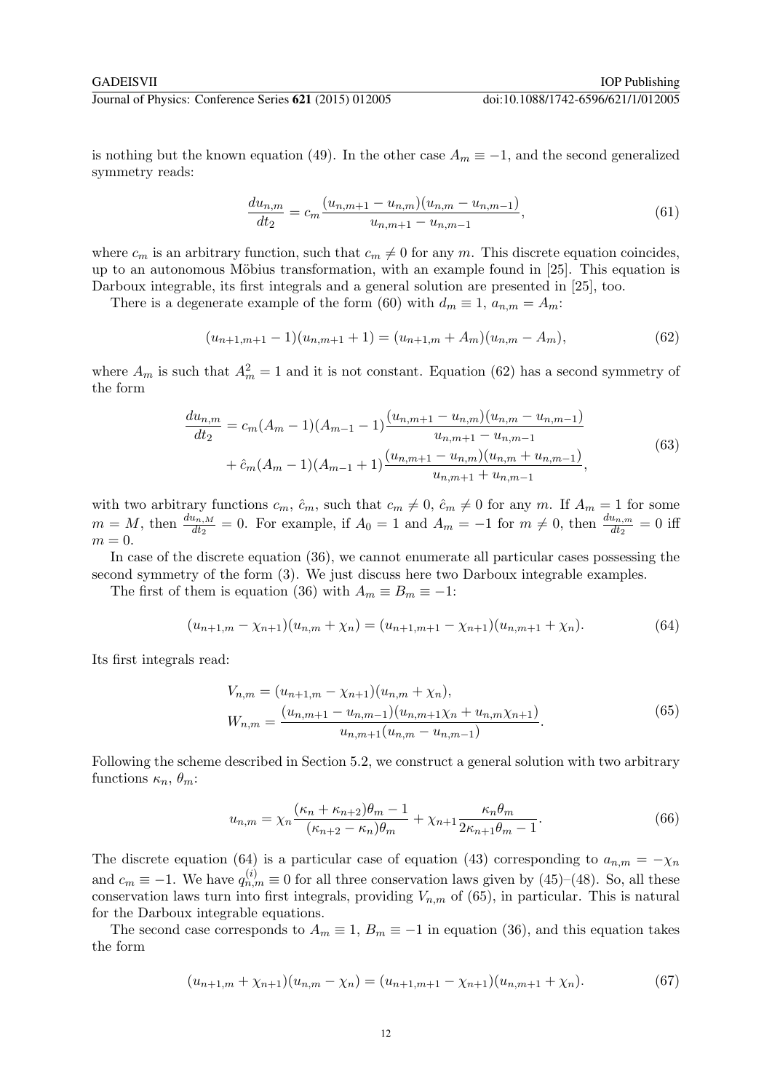is nothing but the known equation (49). In the other case  $A_m \equiv -1$ , and the second generalized symmetry reads:

$$
\frac{du_{n,m}}{dt_2} = c_m \frac{(u_{n,m+1} - u_{n,m})(u_{n,m} - u_{n,m-1})}{u_{n,m+1} - u_{n,m-1}},
$$
\n(61)

where  $c_m$  is an arbitrary function, such that  $c_m \neq 0$  for any m. This discrete equation coincides, up to an autonomous Möbius transformation, with an example found in [25]. This equation is Darboux integrable, its first integrals and a general solution are presented in [25], too.

There is a degenerate example of the form (60) with  $d_m \equiv 1, a_{n,m} = A_m$ :

$$
(u_{n+1,m+1}-1)(u_{n,m+1}+1) = (u_{n+1,m} + A_m)(u_{n,m} - A_m),
$$
\n(62)

where  $A_m$  is such that  $A_m^2 = 1$  and it is not constant. Equation (62) has a second symmetry of the form

$$
\frac{du_{n,m}}{dt_2} = c_m(A_m - 1)(A_{m-1} - 1)\frac{(u_{n,m+1} - u_{n,m})(u_{n,m} - u_{n,m-1})}{u_{n,m+1} - u_{n,m-1}} + \hat{c}_m(A_m - 1)(A_{m-1} + 1)\frac{(u_{n,m+1} - u_{n,m})(u_{n,m} + u_{n,m-1})}{u_{n,m+1} + u_{n,m-1}},
$$
\n(63)

with two arbitrary functions  $c_m$ ,  $\hat{c}_m$ , such that  $c_m \neq 0$ ,  $\hat{c}_m \neq 0$  for any m. If  $A_m = 1$  for some  $m = M$ , then  $\frac{du_{n,M}}{dt_2} = 0$ . For example, if  $A_0 = 1$  and  $A_m = -1$  for  $m \neq 0$ , then  $\frac{du_{n,m}}{dt_2} = 0$  iff  $m=0.$ 

In case of the discrete equation (36), we cannot enumerate all particular cases possessing the second symmetry of the form (3). We just discuss here two Darboux integrable examples.

The first of them is equation (36) with  $A_m \equiv B_m \equiv -1$ :

$$
(u_{n+1,m} - \chi_{n+1})(u_{n,m} + \chi_n) = (u_{n+1,m+1} - \chi_{n+1})(u_{n,m+1} + \chi_n). \tag{64}
$$

Its first integrals read:

$$
V_{n,m} = (u_{n+1,m} - \chi_{n+1})(u_{n,m} + \chi_n),
$$
  
\n
$$
W_{n,m} = \frac{(u_{n,m+1} - u_{n,m-1})(u_{n,m+1}\chi_n + u_{n,m}\chi_{n+1})}{u_{n,m+1}(u_{n,m} - u_{n,m-1})}.
$$
\n(65)

Following the scheme described in Section 5.2, we construct a general solution with two arbitrary functions  $\kappa_n$ ,  $\theta_m$ :

$$
u_{n,m} = \chi_n \frac{(\kappa_n + \kappa_{n+2})\theta_m - 1}{(\kappa_{n+2} - \kappa_n)\theta_m} + \chi_{n+1} \frac{\kappa_n \theta_m}{2\kappa_{n+1} \theta_m - 1}.
$$
 (66)

The discrete equation (64) is a particular case of equation (43) corresponding to  $a_{n,m} = -\chi_n$ and  $c_m \equiv -1$ . We have  $q_{n,m}^{(i)} \equiv 0$  for all three conservation laws given by (45)–(48). So, all these conservation laws turn into first integrals, providing  $V_{n,m}$  of (65), in particular. This is natural for the Darboux integrable equations.

The second case corresponds to  $A_m \equiv 1$ ,  $B_m \equiv -1$  in equation (36), and this equation takes the form

$$
(u_{n+1,m} + \chi_{n+1})(u_{n,m} - \chi_n) = (u_{n+1,m+1} - \chi_{n+1})(u_{n,m+1} + \chi_n).
$$
 (67)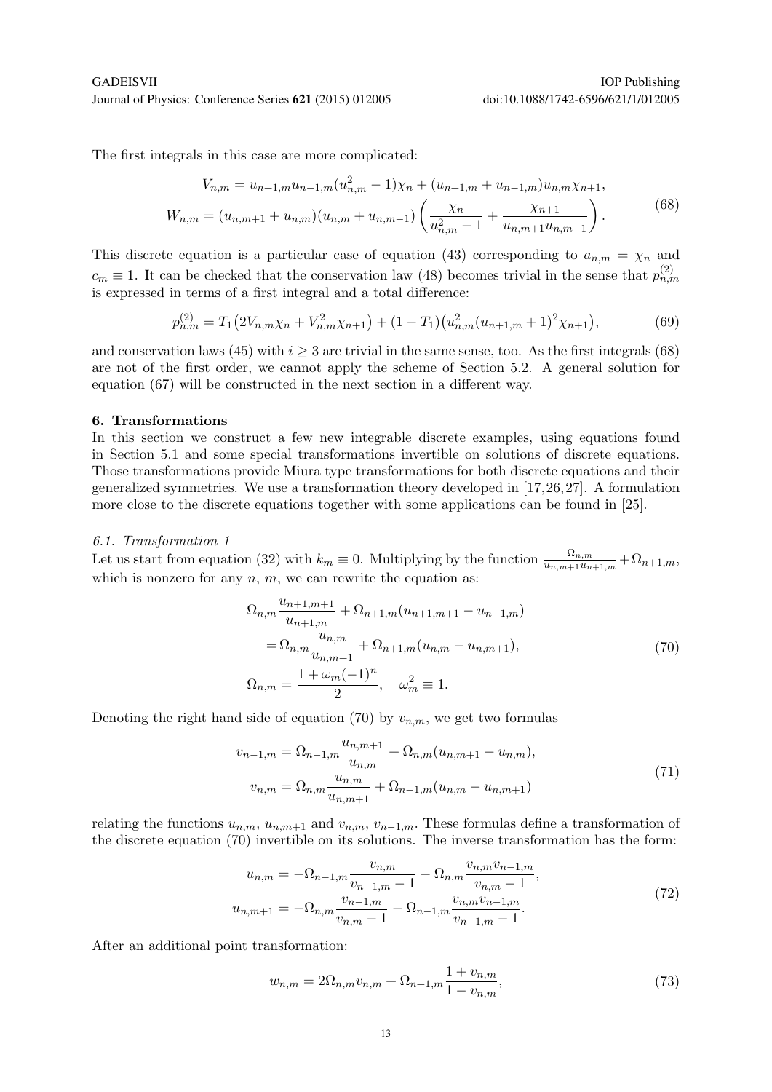The first integrals in this case are more complicated:

$$
V_{n,m} = u_{n+1,m}u_{n-1,m}(u_{n,m}^2 - 1)\chi_n + (u_{n+1,m} + u_{n-1,m})u_{n,m}\chi_{n+1},
$$
  

$$
W_{n,m} = (u_{n,m+1} + u_{n,m})(u_{n,m} + u_{n,m-1})\left(\frac{\chi_n}{u_{n,m}^2 - 1} + \frac{\chi_{n+1}}{u_{n,m+1}u_{n,m-1}}\right).
$$
(68)

This discrete equation is a particular case of equation (43) corresponding to  $a_{n,m} = \chi_n$  and  $c_m \equiv 1$ . It can be checked that the conservation law (48) becomes trivial in the sense that  $p_{n,m}^{(2)}$ is expressed in terms of a first integral and a total difference:

$$
p_{n,m}^{(2)} = T_1 \left( 2V_{n,m} \chi_n + V_{n,m}^2 \chi_{n+1} \right) + (1 - T_1) \left( u_{n,m}^2 (u_{n+1,m} + 1)^2 \chi_{n+1} \right),\tag{69}
$$

and conservation laws (45) with  $i \geq 3$  are trivial in the same sense, too. As the first integrals (68) are not of the first order, we cannot apply the scheme of Section 5.2. A general solution for equation (67) will be constructed in the next section in a different way.

# 6. Transformations

In this section we construct a few new integrable discrete examples, using equations found in Section 5.1 and some special transformations invertible on solutions of discrete equations. Those transformations provide Miura type transformations for both discrete equations and their generalized symmetries. We use a transformation theory developed in [17,26,27]. A formulation more close to the discrete equations together with some applications can be found in [25].

#### 6.1. Transformation 1

Let us start from equation (32) with  $k_m \equiv 0$ . Multiplying by the function  $\frac{\Omega_{n,m}}{u_{n,m+1}u_{n+1,m}} + \Omega_{n+1,m}$ , which is nonzero for any  $n, m$ , we can rewrite the equation as:

$$
\Omega_{n,m} \frac{u_{n+1,m+1}}{u_{n+1,m}} + \Omega_{n+1,m}(u_{n+1,m+1} - u_{n+1,m})
$$
  
=  $\Omega_{n,m} \frac{u_{n,m}}{u_{n,m+1}} + \Omega_{n+1,m}(u_{n,m} - u_{n,m+1}),$   
 $\Omega_{n,m} = \frac{1 + \omega_m(-1)^n}{2}, \quad \omega_m^2 \equiv 1.$  (70)

Denoting the right hand side of equation (70) by  $v_{n,m}$ , we get two formulas

$$
v_{n-1,m} = \Omega_{n-1,m} \frac{u_{n,m+1}}{u_{n,m}} + \Omega_{n,m} (u_{n,m+1} - u_{n,m}),
$$
  

$$
v_{n,m} = \Omega_{n,m} \frac{u_{n,m}}{u_{n,m+1}} + \Omega_{n-1,m} (u_{n,m} - u_{n,m+1})
$$
 (71)

relating the functions  $u_{n,m}$ ,  $u_{n,m+1}$  and  $v_{n,m}$ ,  $v_{n-1,m}$ . These formulas define a transformation of the discrete equation (70) invertible on its solutions. The inverse transformation has the form:

$$
u_{n,m} = -\Omega_{n-1,m} \frac{v_{n,m}}{v_{n-1,m} - 1} - \Omega_{n,m} \frac{v_{n,m} v_{n-1,m}}{v_{n,m} - 1},
$$
  

$$
u_{n,m+1} = -\Omega_{n,m} \frac{v_{n-1,m}}{v_{n,m} - 1} - \Omega_{n-1,m} \frac{v_{n,m} v_{n-1,m}}{v_{n-1,m} - 1}.
$$
 (72)

After an additional point transformation:

$$
w_{n,m} = 2\Omega_{n,m}v_{n,m} + \Omega_{n+1,m}\frac{1+v_{n,m}}{1-v_{n,m}},\tag{73}
$$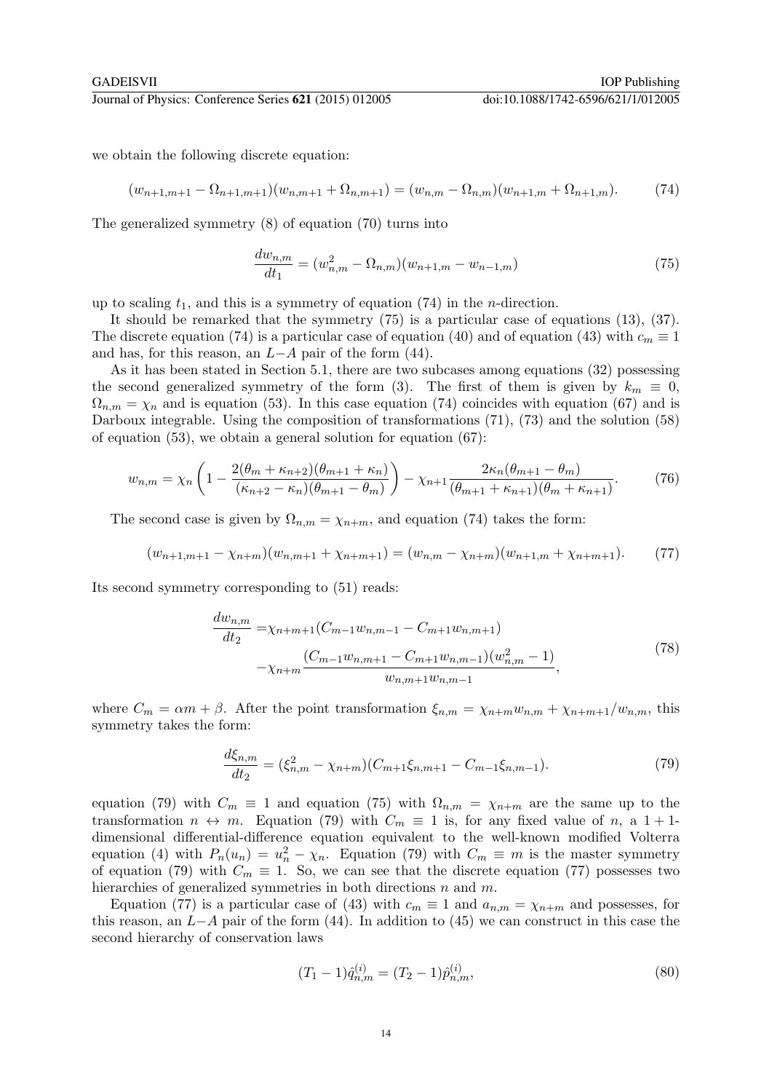we obtain the following discrete equation:

$$
(w_{n+1,m+1} - \Omega_{n+1,m+1})(w_{n,m+1} + \Omega_{n,m+1}) = (w_{n,m} - \Omega_{n,m})(w_{n+1,m} + \Omega_{n+1,m}).
$$
\n(74)

The generalized symmetry (8) of equation (70) turns into

$$
\frac{dw_{n,m}}{dt_1} = (w_{n,m}^2 - \Omega_{n,m})(w_{n+1,m} - w_{n-1,m})
$$
\n(75)

up to scaling  $t_1$ , and this is a symmetry of equation (74) in the *n*-direction.

It should be remarked that the symmetry (75) is a particular case of equations (13), (37). The discrete equation (74) is a particular case of equation (40) and of equation (43) with  $c_m \equiv 1$ and has, for this reason, an  $L-A$  pair of the form (44).

As it has been stated in Section 5.1, there are two subcases among equations (32) possessing the second generalized symmetry of the form (3). The first of them is given by  $k_m \equiv 0$ ,  $\Omega_{n,m} = \chi_n$  and is equation (53). In this case equation (74) coincides with equation (67) and is Darboux integrable. Using the composition of transformations (71), (73) and the solution (58) of equation (53), we obtain a general solution for equation (67):

$$
w_{n,m} = \chi_n \left( 1 - \frac{2(\theta_m + \kappa_{n+2})(\theta_{m+1} + \kappa_n)}{(\kappa_{n+2} - \kappa_n)(\theta_{m+1} - \theta_m)} \right) - \chi_{n+1} \frac{2\kappa_n(\theta_{m+1} - \theta_m)}{(\theta_{m+1} + \kappa_{n+1})(\theta_m + \kappa_{n+1})}.
$$
(76)

The second case is given by  $\Omega_{n,m} = \chi_{n+m}$ , and equation (74) takes the form:

$$
(w_{n+1,m+1} - \chi_{n+m})(w_{n,m+1} + \chi_{n+m+1}) = (w_{n,m} - \chi_{n+m})(w_{n+1,m} + \chi_{n+m+1}).
$$
 (77)

Its second symmetry corresponding to (51) reads:

$$
\frac{dw_{n,m}}{dt_2} = \chi_{n+m+1}(C_{m-1}w_{n,m-1} - C_{m+1}w_{n,m+1})
$$
\n
$$
-\chi_{n+m}\frac{(C_{m-1}w_{n,m+1} - C_{m+1}w_{n,m-1})(w_{n,m}^2 - 1)}{w_{n,m+1}w_{n,m-1}},
$$
\n(78)

where  $C_m = \alpha m + \beta$ . After the point transformation  $\xi_{n,m} = \chi_{n+m}w_{n,m} + \chi_{n+m+1}/w_{n,m}$ , this symmetry takes the form:

$$
\frac{d\xi_{n,m}}{dt_2} = (\xi_{n,m}^2 - \chi_{n+m})(C_{m+1}\xi_{n,m+1} - C_{m-1}\xi_{n,m-1}).\tag{79}
$$

equation (79) with  $C_m \equiv 1$  and equation (75) with  $\Omega_{n,m} = \chi_{n+m}$  are the same up to the transformation  $n \leftrightarrow m$ . Equation (79) with  $C_m \equiv 1$  is, for any fixed value of n, a 1 + 1dimensional differential-difference equation equivalent to the well-known modified Volterra equation (4) with  $P_n(u_n) = u_n^2 - \chi_n$ . Equation (79) with  $C_m \equiv m$  is the master symmetry of equation (79) with  $C_m \equiv 1$ . So, we can see that the discrete equation (77) possesses two hierarchies of generalized symmetries in both directions  $n$  and  $m$ .

Equation (77) is a particular case of (43) with  $c_m \equiv 1$  and  $a_{n,m} = \chi_{n+m}$  and possesses, for this reason, an  $L-A$  pair of the form (44). In addition to (45) we can construct in this case the second hierarchy of conservation laws

$$
(T_1 - 1)\hat{q}_{n,m}^{(i)} = (T_2 - 1)\hat{p}_{n,m}^{(i)},\tag{80}
$$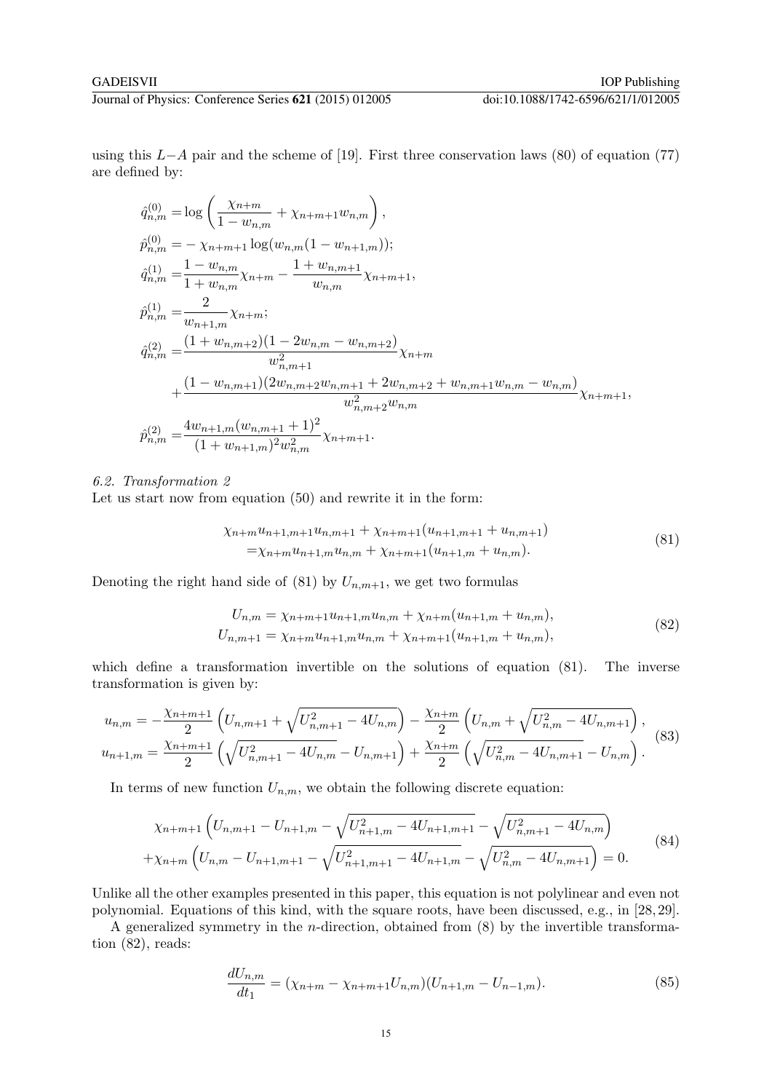using this  $L-A$  pair and the scheme of [19]. First three conservation laws (80) of equation (77) are defined by:

$$
\begin{split}\n\hat{q}_{n,m}^{(0)} &= \log\left(\frac{\chi_{n+m}}{1-w_{n,m}}+\chi_{n+m+1}w_{n,m}\right), \\
\hat{p}_{n,m}^{(0)} &= -\chi_{n+m+1}\log(w_{n,m}(1-w_{n+1,m})); \\
\hat{q}_{n,m}^{(1)} &= \frac{1-w_{n,m}}{1+w_{n,m}}\chi_{n+m} - \frac{1+w_{n,m+1}}{w_{n,m}}\chi_{n+m+1}, \\
\hat{p}_{n,m}^{(1)} &= \frac{2}{w_{n+1,m}}\chi_{n+m}; \\
\hat{q}_{n,m}^{(2)} &= \frac{(1+w_{n,m+2})(1-2w_{n,m}-w_{n,m+2})}{w_{n,m+1}^2}\chi_{n+m} \\
&\quad + \frac{(1-w_{n,m+1})(2w_{n,m+2}w_{n,m+1}+2w_{n,m+2}+w_{n,m+1}w_{n,m}-w_{n,m})}{w_{n,m+2}^2w_{n,m}}\chi_{n+m+1}, \\
\hat{p}_{n,m}^{(2)} &= \frac{4w_{n+1,m}(w_{n,m+1}+1)^2}{(1+w_{n+1,m})^2w_{n,m}^2}\chi_{n+m+1}.\n\end{split}
$$

# 6.2. Transformation 2

Let us start now from equation (50) and rewrite it in the form:

$$
\chi_{n+m}u_{n+1,m+1}u_{n,m+1} + \chi_{n+m+1}(u_{n+1,m+1} + u_{n,m+1})
$$
  
=  $\chi_{n+m}u_{n+1,m}u_{n,m} + \chi_{n+m+1}(u_{n+1,m} + u_{n,m}).$  (81)

Denoting the right hand side of (81) by  $U_{n,m+1}$ , we get two formulas

$$
U_{n,m} = \chi_{n+m+1}u_{n+1,m}u_{n,m} + \chi_{n+m}(u_{n+1,m} + u_{n,m}),
$$
  
\n
$$
U_{n,m+1} = \chi_{n+m}u_{n+1,m}u_{n,m} + \chi_{n+m+1}(u_{n+1,m} + u_{n,m}),
$$
\n(82)

which define a transformation invertible on the solutions of equation  $(81)$ . The inverse transformation is given by:

$$
u_{n,m} = -\frac{\chi_{n+m+1}}{2} \left( U_{n,m+1} + \sqrt{U_{n,m+1}^2 - 4U_{n,m}} \right) - \frac{\chi_{n+m}}{2} \left( U_{n,m} + \sqrt{U_{n,m}^2 - 4U_{n,m+1}} \right),
$$
  

$$
u_{n+1,m} = \frac{\chi_{n+m+1}}{2} \left( \sqrt{U_{n,m+1}^2 - 4U_{n,m}} - U_{n,m+1} \right) + \frac{\chi_{n+m}}{2} \left( \sqrt{U_{n,m}^2 - 4U_{n,m+1}} - U_{n,m} \right).
$$
 (83)

In terms of new function  $U_{n,m}$ , we obtain the following discrete equation:

$$
\chi_{n+m+1} \left( U_{n,m+1} - U_{n+1,m} - \sqrt{U_{n+1,m}^2 - 4U_{n+1,m+1}} - \sqrt{U_{n,m+1}^2 - 4U_{n,m}} \right)
$$
  
+ 
$$
\chi_{n+m} \left( U_{n,m} - U_{n+1,m+1} - \sqrt{U_{n+1,m+1}^2 - 4U_{n+1,m}} - \sqrt{U_{n,m}^2 - 4U_{n,m+1}} \right) = 0.
$$
 (84)

Unlike all the other examples presented in this paper, this equation is not polylinear and even not polynomial. Equations of this kind, with the square roots, have been discussed, e.g., in [28, 29].

A generalized symmetry in the n-direction, obtained from (8) by the invertible transformation (82), reads:

$$
\frac{dU_{n,m}}{dt_1} = (\chi_{n+m} - \chi_{n+m+1}U_{n,m})(U_{n+1,m} - U_{n-1,m}).
$$
\n(85)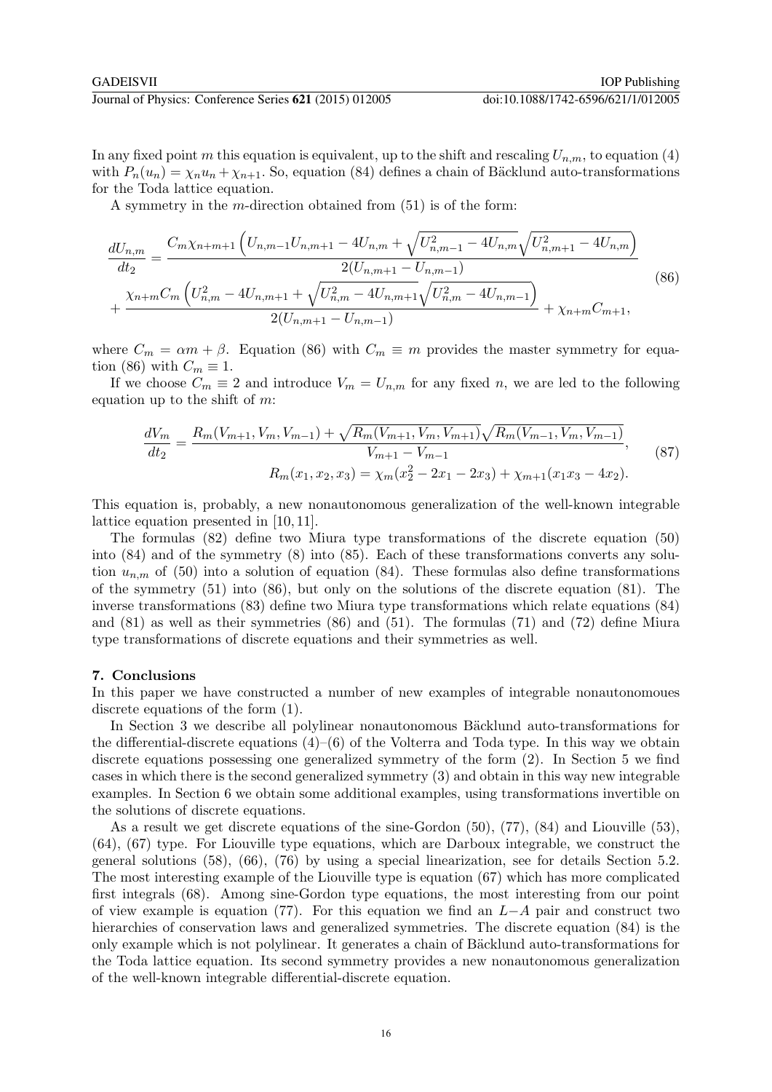In any fixed point m this equation is equivalent, up to the shift and rescaling  $U_{n,m}$ , to equation (4) with  $P_n(u_n) = \chi_n u_n + \chi_{n+1}$ . So, equation (84) defines a chain of Bäcklund auto-transformations for the Toda lattice equation.

A symmetry in the  $m$ -direction obtained from  $(51)$  is of the form:

$$
\frac{dU_{n,m}}{dt_2} = \frac{C_m \chi_{n+m+1} \left( U_{n,m-1} U_{n,m+1} - 4U_{n,m} + \sqrt{U_{n,m-1}^2 - 4U_{n,m}} \sqrt{U_{n,m+1}^2 - 4U_{n,m}} \right)}{2(U_{n,m+1} - U_{n,m-1})} + \frac{\chi_{n+m} C_m \left( U_{n,m}^2 - 4U_{n,m+1} + \sqrt{U_{n,m}^2 - 4U_{n,m+1}} \sqrt{U_{n,m}^2 - 4U_{n,m-1}} \right)}{2(U_{n,m+1} - U_{n,m-1})} + \chi_{n+m} C_{m+1},
$$
\n(86)

where  $C_m = \alpha m + \beta$ . Equation (86) with  $C_m \equiv m$  provides the master symmetry for equation (86) with  $C_m \equiv 1$ .

If we choose  $C_m \equiv 2$  and introduce  $V_m = U_{n,m}$  for any fixed n, we are led to the following equation up to the shift of  $m$ :

$$
\frac{dV_m}{dt_2} = \frac{R_m(V_{m+1}, V_m, V_{m-1}) + \sqrt{R_m(V_{m+1}, V_m, V_{m+1})} \sqrt{R_m(V_{m-1}, V_m, V_{m-1})}}{V_{m+1} - V_{m-1}},
$$
\n
$$
R_m(x_1, x_2, x_3) = \chi_m(x_2^2 - 2x_1 - 2x_3) + \chi_{m+1}(x_1x_3 - 4x_2).
$$
\n(87)

This equation is, probably, a new nonautonomous generalization of the well-known integrable lattice equation presented in [10, 11].

The formulas (82) define two Miura type transformations of the discrete equation (50) into (84) and of the symmetry (8) into (85). Each of these transformations converts any solution  $u_{n,m}$  of (50) into a solution of equation (84). These formulas also define transformations of the symmetry (51) into (86), but only on the solutions of the discrete equation (81). The inverse transformations (83) define two Miura type transformations which relate equations (84) and (81) as well as their symmetries (86) and (51). The formulas (71) and (72) define Miura type transformations of discrete equations and their symmetries as well.

# 7. Conclusions

In this paper we have constructed a number of new examples of integrable nonautonomoues discrete equations of the form (1).

In Section 3 we describe all polylinear nonautonomous Bäcklund auto-transformations for the differential-discrete equations  $(4)$ – $(6)$  of the Volterra and Toda type. In this way we obtain discrete equations possessing one generalized symmetry of the form (2). In Section 5 we find cases in which there is the second generalized symmetry (3) and obtain in this way new integrable examples. In Section 6 we obtain some additional examples, using transformations invertible on the solutions of discrete equations.

As a result we get discrete equations of the sine-Gordon (50), (77), (84) and Liouville (53), (64), (67) type. For Liouville type equations, which are Darboux integrable, we construct the general solutions (58), (66), (76) by using a special linearization, see for details Section 5.2. The most interesting example of the Liouville type is equation (67) which has more complicated first integrals (68). Among sine-Gordon type equations, the most interesting from our point of view example is equation (77). For this equation we find an  $L-A$  pair and construct two hierarchies of conservation laws and generalized symmetries. The discrete equation (84) is the only example which is not polylinear. It generates a chain of Bäcklund auto-transformations for the Toda lattice equation. Its second symmetry provides a new nonautonomous generalization of the well-known integrable differential-discrete equation.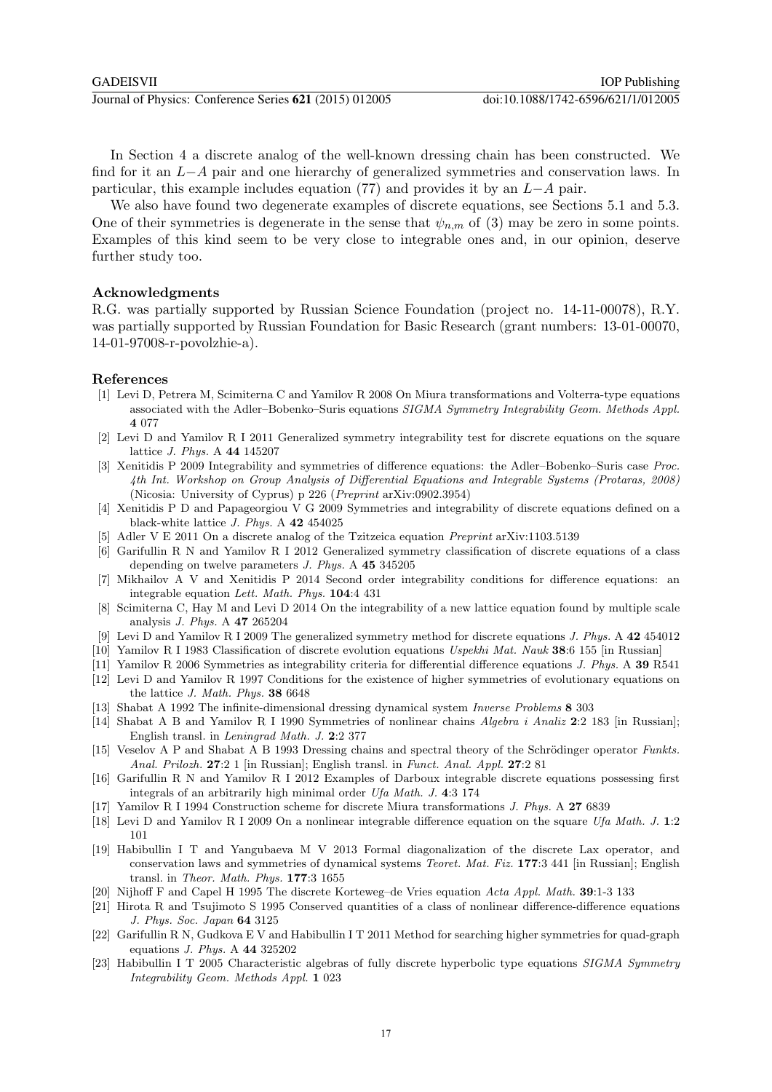In Section 4 a discrete analog of the well-known dressing chain has been constructed. We find for it an L−A pair and one hierarchy of generalized symmetries and conservation laws. In particular, this example includes equation (77) and provides it by an L−A pair.

We also have found two degenerate examples of discrete equations, see Sections 5.1 and 5.3. One of their symmetries is degenerate in the sense that  $\psi_{n,m}$  of (3) may be zero in some points. Examples of this kind seem to be very close to integrable ones and, in our opinion, deserve further study too.

# Acknowledgments

R.G. was partially supported by Russian Science Foundation (project no. 14-11-00078), R.Y. was partially supported by Russian Foundation for Basic Research (grant numbers: 13-01-00070, 14-01-97008-r-povolzhie-a).

# References

- [1] Levi D, Petrera M, Scimiterna C and Yamilov R 2008 On Miura transformations and Volterra-type equations associated with the Adler–Bobenko–Suris equations SIGMA Symmetry Integrability Geom. Methods Appl. 4 077
- [2] Levi D and Yamilov R I 2011 Generalized symmetry integrability test for discrete equations on the square lattice J. Phys. A 44 145207
- [3] Xenitidis P 2009 Integrability and symmetries of difference equations: the Adler–Bobenko–Suris case Proc. 4th Int. Workshop on Group Analysis of Differential Equations and Integrable Systems (Protaras, 2008) (Nicosia: University of Cyprus) p 226 (Preprint arXiv:0902.3954)
- [4] Xenitidis P D and Papageorgiou V G 2009 Symmetries and integrability of discrete equations defined on a black-white lattice J. Phys. A 42 454025
- [5] Adler V E 2011 On a discrete analog of the Tzitzeica equation Preprint arXiv:1103.5139
- [6] Garifullin R N and Yamilov R I 2012 Generalized symmetry classification of discrete equations of a class depending on twelve parameters J. Phys. A 45 345205
- [7] Mikhailov A V and Xenitidis P 2014 Second order integrability conditions for difference equations: an integrable equation Lett. Math. Phys. 104:4 431
- [8] Scimiterna C, Hay M and Levi D 2014 On the integrability of a new lattice equation found by multiple scale analysis J. Phys. A 47 265204
- [9] Levi D and Yamilov R I 2009 The generalized symmetry method for discrete equations J. Phys. A 42 454012
- [10] Yamilov R I 1983 Classification of discrete evolution equations Uspekhi Mat. Nauk 38:6 155 [in Russian]
- [11] Yamilov R 2006 Symmetries as integrability criteria for differential difference equations J. Phys. A 39 R541
- [12] Levi D and Yamilov R 1997 Conditions for the existence of higher symmetries of evolutionary equations on the lattice J. Math. Phys. 38 6648
- [13] Shabat A 1992 The infinite-dimensional dressing dynamical system Inverse Problems 8 303
- [14] Shabat A B and Yamilov R I 1990 Symmetries of nonlinear chains Algebra i Analiz 2:2 183 [in Russian]; English transl. in Leningrad Math. J. 2:2 377
- [15] Veselov A P and Shabat A B 1993 Dressing chains and spectral theory of the Schrödinger operator Funkts. Anal. Prilozh. 27:2 1 [in Russian]; English transl. in Funct. Anal. Appl. 27:2 81
- [16] Garifullin R N and Yamilov R I 2012 Examples of Darboux integrable discrete equations possessing first integrals of an arbitrarily high minimal order Ufa Math. J. 4:3 174
- [17] Yamilov R I 1994 Construction scheme for discrete Miura transformations J. Phys. A 27 6839
- [18] Levi D and Yamilov R I 2009 On a nonlinear integrable difference equation on the square Ufa Math. J. 1:2 101
- [19] Habibullin I T and Yangubaeva M V 2013 Formal diagonalization of the discrete Lax operator, and conservation laws and symmetries of dynamical systems Teoret. Mat. Fiz. 177:3 441 [in Russian]; English transl. in Theor. Math. Phys. 177:3 1655
- [20] Nijhoff F and Capel H 1995 The discrete Korteweg–de Vries equation Acta Appl. Math. 39:1-3 133
- [21] Hirota R and Tsujimoto S 1995 Conserved quantities of a class of nonlinear difference-difference equations J. Phys. Soc. Japan 64 3125
- [22] Garifullin R N, Gudkova E V and Habibullin I T 2011 Method for searching higher symmetries for quad-graph equations J. Phys. A 44 325202
- [23] Habibullin I T 2005 Characteristic algebras of fully discrete hyperbolic type equations SIGMA Symmetry Integrability Geom. Methods Appl. 1 023